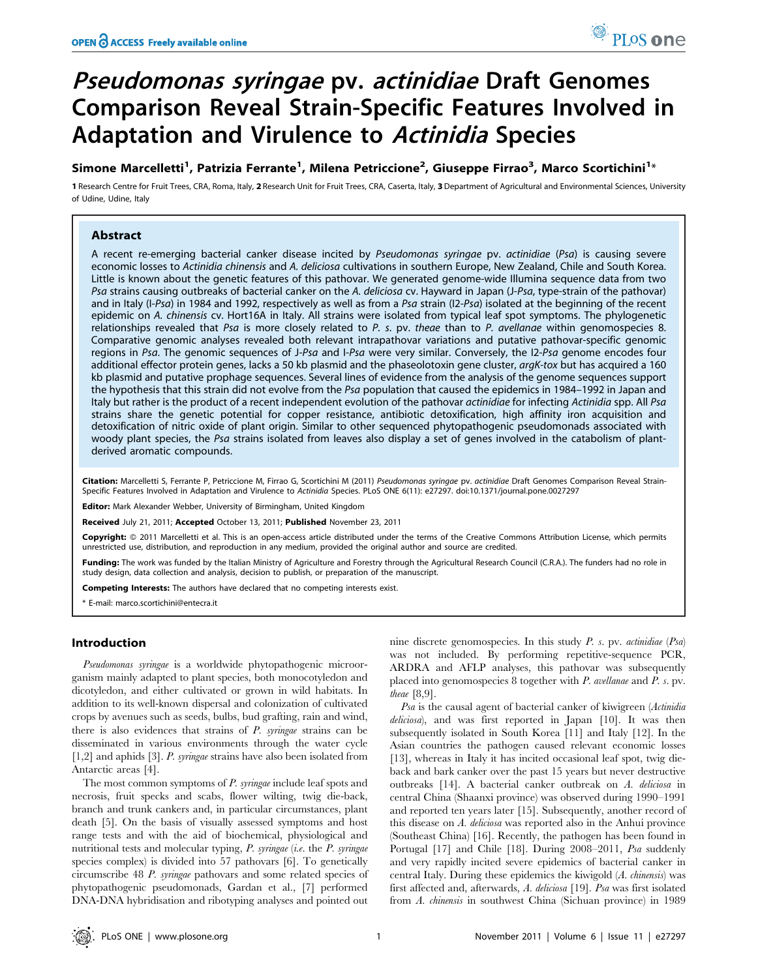# Pseudomonas syringae pv. actinidiae Draft Genomes Comparison Reveal Strain-Specific Features Involved in Adaptation and Virulence to Actinidia Species

Simone Marcelletti<sup>1</sup>, Patrizia Ferrante<sup>1</sup>, Milena Petriccione<sup>2</sup>, Giuseppe Firrao<sup>3</sup>, Marco Scortichini<sup>1</sup>\*

1 Research Centre for Fruit Trees, CRA, Roma, Italy, 2 Research Unit for Fruit Trees, CRA, Caserta, Italy, 3 Department of Agricultural and Environmental Sciences, University of Udine, Udine, Italy

# Abstract

A recent re-emerging bacterial canker disease incited by Pseudomonas syringae pv. actinidiae (Psa) is causing severe economic losses to Actinidia chinensis and A. deliciosa cultivations in southern Europe, New Zealand, Chile and South Korea. Little is known about the genetic features of this pathovar. We generated genome-wide Illumina sequence data from two Psa strains causing outbreaks of bacterial canker on the A. deliciosa cv. Hayward in Japan (J-Psa, type-strain of the pathovar) and in Italy (I-Psa) in 1984 and 1992, respectively as well as from a Psa strain (I2-Psa) isolated at the beginning of the recent epidemic on A. chinensis cv. Hort16A in Italy. All strains were isolated from typical leaf spot symptoms. The phylogenetic relationships revealed that Psa is more closely related to P. s. pv. theae than to P. avellanae within genomospecies 8. Comparative genomic analyses revealed both relevant intrapathovar variations and putative pathovar-specific genomic regions in Psa. The genomic sequences of J-Psa and I-Psa were very similar. Conversely, the I2-Psa genome encodes four additional effector protein genes, lacks a 50 kb plasmid and the phaseolotoxin gene cluster, argK-tox but has acquired a 160 kb plasmid and putative prophage sequences. Several lines of evidence from the analysis of the genome sequences support the hypothesis that this strain did not evolve from the Psa population that caused the epidemics in 1984–1992 in Japan and Italy but rather is the product of a recent independent evolution of the pathovar actinidiae for infecting Actinidia spp. All Psa strains share the genetic potential for copper resistance, antibiotic detoxification, high affinity iron acquisition and detoxification of nitric oxide of plant origin. Similar to other sequenced phytopathogenic pseudomonads associated with woody plant species, the Psa strains isolated from leaves also display a set of genes involved in the catabolism of plantderived aromatic compounds.

Citation: Marcelletti S, Ferrante P, Petriccione M, Firrao G, Scortichini M (2011) Pseudomonas syringae pv. actinidiae Draft Genomes Comparison Reveal Strain-Specific Features Involved in Adaptation and Virulence to Actinidia Species. PLoS ONE 6(11): e27297. doi:10.1371/journal.pone.0027297

Editor: Mark Alexander Webber, University of Birmingham, United Kingdom

Received July 21, 2011; Accepted October 13, 2011; Published November 23, 2011

**Copyright:** © 2011 Marcelletti et al. This is an open-access article distributed under the terms of the Creative Commons Attribution License, which permits unrestricted use, distribution, and reproduction in any medium, provided the original author and source are credited.

Funding: The work was funded by the Italian Ministry of Agriculture and Forestry through the Agricultural Research Council (C.R.A.). The funders had no role in study design, data collection and analysis, decision to publish, or preparation of the manuscript.

Competing Interests: The authors have declared that no competing interests exist.

\* E-mail: marco.scortichini@entecra.it

## Introduction

Pseudomonas syringae is a worldwide phytopathogenic microorganism mainly adapted to plant species, both monocotyledon and dicotyledon, and either cultivated or grown in wild habitats. In addition to its well-known dispersal and colonization of cultivated crops by avenues such as seeds, bulbs, bud grafting, rain and wind, there is also evidences that strains of  $P$ . syringae strains can be disseminated in various environments through the water cycle [1,2] and aphids [3]. P. syringae strains have also been isolated from Antarctic areas [4].

The most common symptoms of P. syringae include leaf spots and necrosis, fruit specks and scabs, flower wilting, twig die-back, branch and trunk cankers and, in particular circumstances, plant death [5]. On the basis of visually assessed symptoms and host range tests and with the aid of biochemical, physiological and nutritional tests and molecular typing, P. syringae (i.e. the P. syringae species complex) is divided into 57 pathovars [6]. To genetically circumscribe 48 P. syringae pathovars and some related species of phytopathogenic pseudomonads, Gardan et al., [7] performed DNA-DNA hybridisation and ribotyping analyses and pointed out

nine discrete genomospecies. In this study P. s. pv. actinidiae (Psa) was not included. By performing repetitive-sequence PCR, ARDRA and AFLP analyses, this pathovar was subsequently placed into genomospecies 8 together with P. avellanae and P. s. pv. theae [8,9].

Psa is the causal agent of bacterial canker of kiwigreen (Actinidia deliciosa), and was first reported in Japan [10]. It was then subsequently isolated in South Korea [11] and Italy [12]. In the Asian countries the pathogen caused relevant economic losses [13], whereas in Italy it has incited occasional leaf spot, twig dieback and bark canker over the past 15 years but never destructive outbreaks [14]. A bacterial canker outbreak on A. deliciosa in central China (Shaanxi province) was observed during 1990–1991 and reported ten years later [15]. Subsequently, another record of this disease on A. deliciosa was reported also in the Anhui province (Southeast China) [16]. Recently, the pathogen has been found in Portugal [17] and Chile [18]. During 2008–2011, *Psa* suddenly and very rapidly incited severe epidemics of bacterial canker in central Italy. During these epidemics the kiwigold (A. chinensis) was first affected and, afterwards, A. deliciosa [19]. Psa was first isolated from A. chinensis in southwest China (Sichuan province) in 1989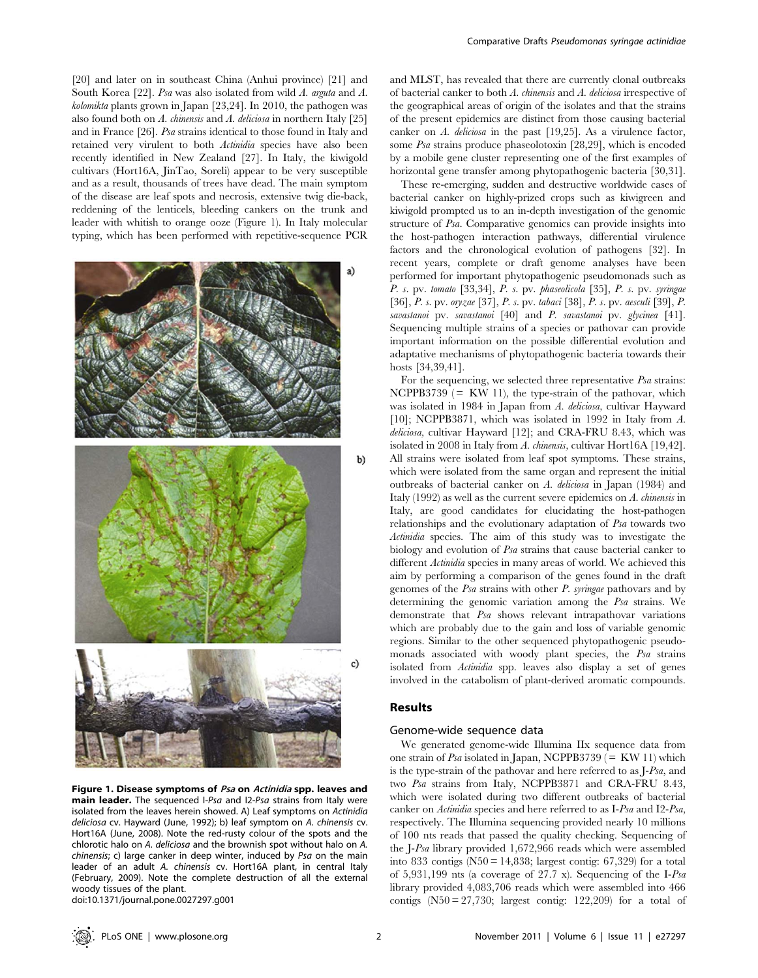[20] and later on in southeast China (Anhui province) [21] and South Korea [22]. Psa was also isolated from wild A. arguta and A. kolomikta plants grown in Japan [23,24]. In 2010, the pathogen was also found both on  $A$ . *chinensis* and  $A$ . *deliciosa* in northern Italy [25] and in France [26]. Psa strains identical to those found in Italy and retained very virulent to both Actinidia species have also been recently identified in New Zealand [27]. In Italy, the kiwigold cultivars (Hort16A, JinTao, Soreli) appear to be very susceptible and as a result, thousands of trees have dead. The main symptom of the disease are leaf spots and necrosis, extensive twig die-back, reddening of the lenticels, bleeding cankers on the trunk and leader with whitish to orange ooze (Figure 1). In Italy molecular typing, which has been performed with repetitive-sequence PCR



Figure 1. Disease symptoms of Psa on Actinidia spp. leaves and main leader. The sequenced I-Psa and I2-Psa strains from Italy were isolated from the leaves herein showed. A) Leaf symptoms on Actinidia deliciosa cv. Hayward (June, 1992); b) leaf symptom on A. chinensis cv. Hort16A (June, 2008). Note the red-rusty colour of the spots and the chlorotic halo on A. deliciosa and the brownish spot without halo on A. chinensis; c) large canker in deep winter, induced by Psa on the main leader of an adult A. chinensis cv. Hort16A plant, in central Italy (February, 2009). Note the complete destruction of all the external woody tissues of the plant.

doi:10.1371/journal.pone.0027297.g001

and MLST, has revealed that there are currently clonal outbreaks of bacterial canker to both A. chinensis and A. deliciosa irrespective of the geographical areas of origin of the isolates and that the strains of the present epidemics are distinct from those causing bacterial canker on A. deliciosa in the past [19,25]. As a virulence factor, some Psa strains produce phaseolotoxin [28,29], which is encoded by a mobile gene cluster representing one of the first examples of horizontal gene transfer among phytopathogenic bacteria [30,31].

These re-emerging, sudden and destructive worldwide cases of bacterial canker on highly-prized crops such as kiwigreen and kiwigold prompted us to an in-depth investigation of the genomic structure of Psa. Comparative genomics can provide insights into the host-pathogen interaction pathways, differential virulence factors and the chronological evolution of pathogens [32]. In recent years, complete or draft genome analyses have been performed for important phytopathogenic pseudomonads such as P. s. pv. tomato [33,34], P. s. pv. phaseolicola [35], P. s. pv. syringae [36], P. s. pv. oryzae [37], P. s. pv. tabaci [38], P. s. pv. aesculi [39], P. savastanoi pv. savastanoi [40] and P. savastanoi pv. glycinea [41]. Sequencing multiple strains of a species or pathovar can provide important information on the possible differential evolution and adaptative mechanisms of phytopathogenic bacteria towards their hosts [34,39,41].

For the sequencing, we selected three representative Psa strains: NCPPB3739  $(= KW 11)$ , the type-strain of the pathovar, which was isolated in 1984 in Japan from A. deliciosa, cultivar Hayward [10]; NCPPB3871, which was isolated in 1992 in Italy from A. deliciosa, cultivar Hayward [12]; and CRA-FRU 8.43, which was isolated in 2008 in Italy from A. chinensis, cultivar Hort16A [19,42]. All strains were isolated from leaf spot symptoms. These strains, which were isolated from the same organ and represent the initial outbreaks of bacterial canker on A. deliciosa in Japan (1984) and Italy (1992) as well as the current severe epidemics on A. chinensis in Italy, are good candidates for elucidating the host-pathogen relationships and the evolutionary adaptation of Psa towards two Actinidia species. The aim of this study was to investigate the biology and evolution of Psa strains that cause bacterial canker to different *Actinidia* species in many areas of world. We achieved this aim by performing a comparison of the genes found in the draft genomes of the Psa strains with other P. syringae pathovars and by determining the genomic variation among the Psa strains. We demonstrate that Psa shows relevant intrapathovar variations which are probably due to the gain and loss of variable genomic regions. Similar to the other sequenced phytopathogenic pseudomonads associated with woody plant species, the Psa strains isolated from Actinidia spp. leaves also display a set of genes involved in the catabolism of plant-derived aromatic compounds.

## Results

#### Genome-wide sequence data

We generated genome-wide Illumina IIx sequence data from one strain of Psa isolated in Japan, NCPPB3739 ( $=$  KW 11) which is the type-strain of the pathovar and here referred to as J-Psa, and two Psa strains from Italy, NCPPB3871 and CRA-FRU 8.43, which were isolated during two different outbreaks of bacterial canker on Actinidia species and here referred to as I-Psa and I2-Psa, respectively. The Illumina sequencing provided nearly 10 millions of 100 nts reads that passed the quality checking. Sequencing of the J-Psa library provided 1,672,966 reads which were assembled into 833 contigs  $(N50 = 14,838;$  largest contig: 67,329) for a total of 5,931,199 nts (a coverage of 27.7 x). Sequencing of the I-Psa library provided 4,083,706 reads which were assembled into 466 contigs  $(N50 = 27,730)$ ; largest contig: 122,209) for a total of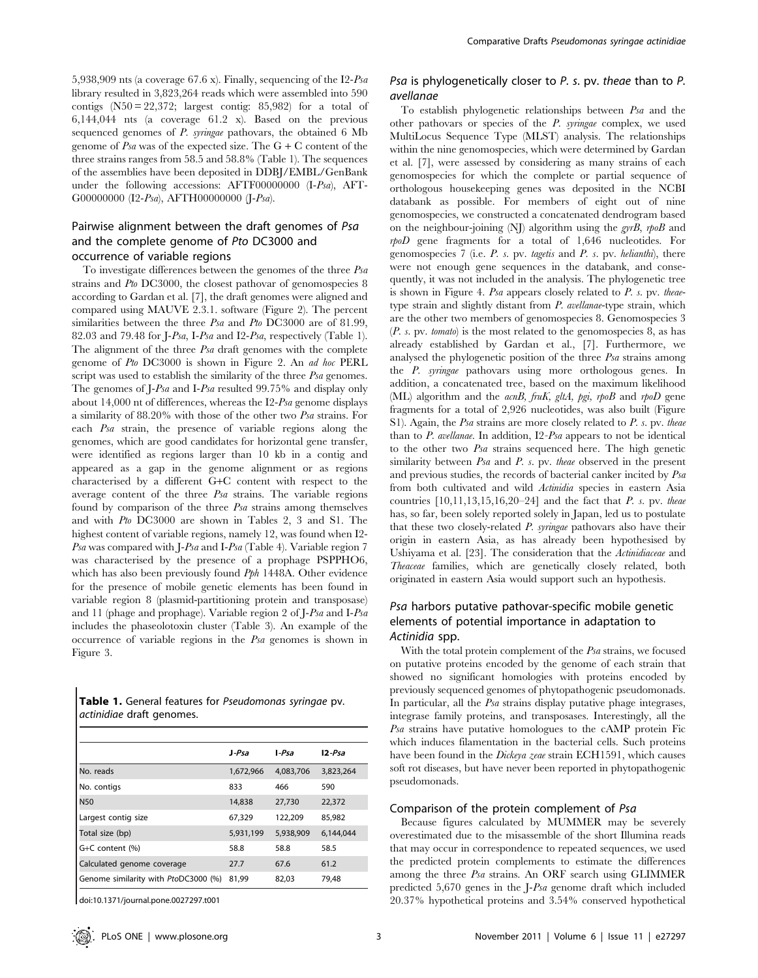5,938,909 nts (a coverage 67.6 x). Finally, sequencing of the I2-Psa library resulted in 3,823,264 reads which were assembled into 590 contigs  $(N50 = 22,372$ ; largest contig: 85,982) for a total of 6,144,044 nts (a coverage 61.2 x). Based on the previous sequenced genomes of P. syringae pathovars, the obtained 6 Mb genome of Psa was of the expected size. The  $G + C$  content of the three strains ranges from 58.5 and 58.8% (Table 1). The sequences of the assemblies have been deposited in DDBJ/EMBL/GenBank under the following accessions: AFTF00000000 (I-Psa), AFT-G00000000 (I2-Psa), AFTH00000000 (J-Psa).

# Pairwise alignment between the draft genomes of Psa and the complete genome of Pto DC3000 and occurrence of variable regions

To investigate differences between the genomes of the three Psa strains and Pto DC3000, the closest pathovar of genomospecies 8 according to Gardan et al. [7], the draft genomes were aligned and compared using MAUVE 2.3.1. software (Figure 2). The percent similarities between the three Psa and Pto DC3000 are of 81.99, 82.03 and 79.48 for J-Psa, I-Psa and I2-Psa, respectively (Table 1). The alignment of the three Psa draft genomes with the complete genome of Pto DC3000 is shown in Figure 2. An ad hoc PERL script was used to establish the similarity of the three Psa genomes. The genomes of J-Psa and I-Psa resulted 99.75% and display only about 14,000 nt of differences, whereas the I2-Psa genome displays a similarity of 88.20% with those of the other two Psa strains. For each Psa strain, the presence of variable regions along the genomes, which are good candidates for horizontal gene transfer, were identified as regions larger than 10 kb in a contig and appeared as a gap in the genome alignment or as regions characterised by a different G+C content with respect to the average content of the three Psa strains. The variable regions found by comparison of the three Psa strains among themselves and with Pto DC3000 are shown in Tables 2, 3 and S1. The highest content of variable regions, namely 12, was found when I2- Psa was compared with J-Psa and I-Psa (Table 4). Variable region 7 was characterised by the presence of a prophage PSPPHO6, which has also been previously found Pph 1448A. Other evidence for the presence of mobile genetic elements has been found in variable region 8 (plasmid-partitioning protein and transposase) and 11 (phage and prophage). Variable region 2 of J-Psa and I-Psa includes the phaseolotoxin cluster (Table 3). An example of the occurrence of variable regions in the Psa genomes is shown in Figure 3.

|  |                                  | Table 1. General features for Pseudomonas syringae pv. |  |
|--|----------------------------------|--------------------------------------------------------|--|
|  | <i>actinidiae</i> draft genomes. |                                                        |  |

|                                      | $J-Psa$   | $I-Psa$   | $12$ -Psa |
|--------------------------------------|-----------|-----------|-----------|
| No. reads                            | 1,672,966 | 4.083.706 | 3,823,264 |
| No. contigs                          | 833       | 466       | 590       |
| <b>N50</b>                           | 14,838    | 27,730    | 22,372    |
| Largest contig size                  | 67,329    | 122,209   | 85,982    |
| Total size (bp)                      | 5,931,199 | 5,938,909 | 6.144.044 |
| G+C content (%)                      | 58.8      | 58.8      | 58.5      |
| Calculated genome coverage           | 27.7      | 67.6      | 61.2      |
| Genome similarity with PtoDC3000 (%) | 81,99     | 82,03     | 79.48     |

doi:10.1371/journal.pone.0027297.t001

# Psa is phylogenetically closer to P. s. pv. theae than to P. avellanae

To establish phylogenetic relationships between Psa and the other pathovars or species of the P. syringae complex, we used MultiLocus Sequence Type (MLST) analysis. The relationships within the nine genomospecies, which were determined by Gardan et al. [7], were assessed by considering as many strains of each genomospecies for which the complete or partial sequence of orthologous housekeeping genes was deposited in the NCBI databank as possible. For members of eight out of nine genomospecies, we constructed a concatenated dendrogram based on the neighbour-joining (NJ) algorithm using the  $gyrB$ , rpoB and rpoD gene fragments for a total of 1,646 nucleotides. For genomospecies 7 (i.e.  $P$ . s. pv. tagetis and  $P$ . s. pv. helianthi), there were not enough gene sequences in the databank, and consequently, it was not included in the analysis. The phylogenetic tree is shown in Figure 4. Psa appears closely related to P. s. pv. theaetype strain and slightly distant from P. avellanae-type strain, which are the other two members of genomospecies 8. Genomospecies 3  $(P. s. pv. tomato)$  is the most related to the genomospecies 8, as has already established by Gardan et al., [7]. Furthermore, we analysed the phylogenetic position of the three Psa strains among the P. syringae pathovars using more orthologous genes. In addition, a concatenated tree, based on the maximum likelihood (ML) algorithm and the acnB, fruK, gltA, pgi, rpoB and rpoD gene fragments for a total of 2,926 nucleotides, was also built (Figure S1). Again, the Psa strains are more closely related to P. s. pv. theae than to P. avellanae. In addition, I2-Psa appears to not be identical to the other two Psa strains sequenced here. The high genetic similarity between *Psa* and *P. s.* pv. *theae* observed in the present and previous studies, the records of bacterial canker incited by Psa from both cultivated and wild Actinidia species in eastern Asia countries  $[10,11,13,15,16,20–24]$  and the fact that P. s. pv. theae has, so far, been solely reported solely in Japan, led us to postulate that these two closely-related P. syringae pathovars also have their origin in eastern Asia, as has already been hypothesised by Ushiyama et al. [23]. The consideration that the Actinidiaceae and Theaceae families, which are genetically closely related, both originated in eastern Asia would support such an hypothesis.

# Psa harbors putative pathovar-specific mobile genetic elements of potential importance in adaptation to Actinidia spp.

With the total protein complement of the Psa strains, we focused on putative proteins encoded by the genome of each strain that showed no significant homologies with proteins encoded by previously sequenced genomes of phytopathogenic pseudomonads. In particular, all the Psa strains display putative phage integrases, integrase family proteins, and transposases. Interestingly, all the Psa strains have putative homologues to the cAMP protein Fic which induces filamentation in the bacterial cells. Such proteins have been found in the *Dickeya zeae* strain ECH1591, which causes soft rot diseases, but have never been reported in phytopathogenic pseudomonads.

## Comparison of the protein complement of Psa

Because figures calculated by MUMMER may be severely overestimated due to the misassemble of the short Illumina reads that may occur in correspondence to repeated sequences, we used the predicted protein complements to estimate the differences among the three Psa strains. An ORF search using GLIMMER predicted 5,670 genes in the J-Psa genome draft which included 20.37% hypothetical proteins and 3.54% conserved hypothetical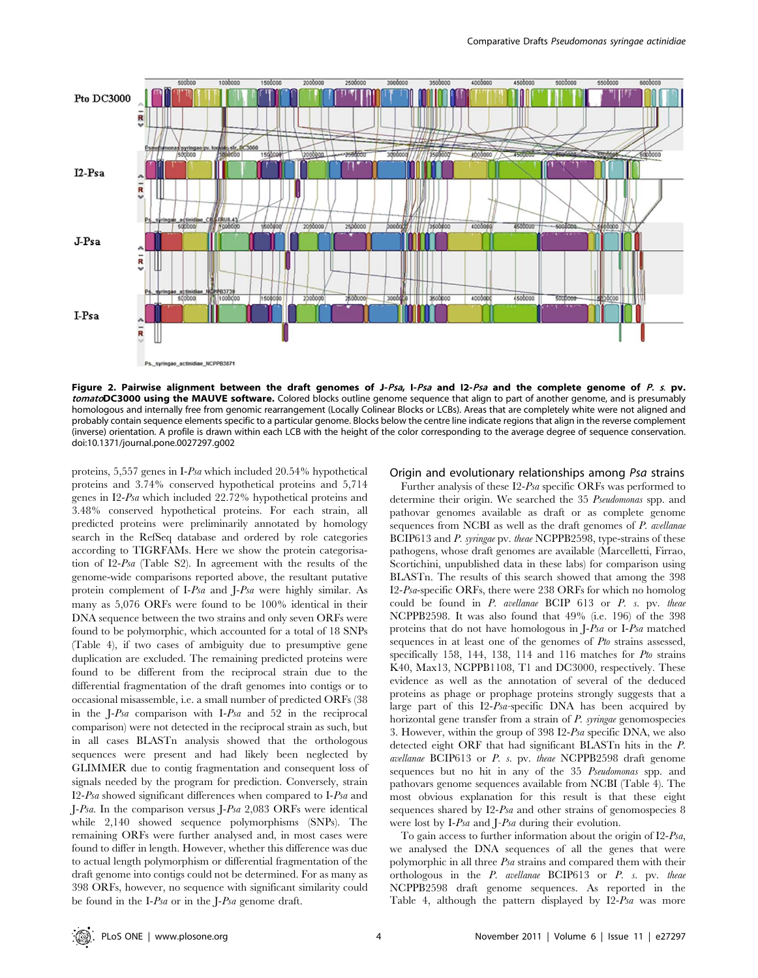

Figure 2. Pairwise alignment between the draft genomes of J-Psa, I-Psa and I2-Psa and the complete genome of P. s. pv. tomatoDC3000 using the MAUVE software. Colored blocks outline genome sequence that align to part of another genome, and is presumably homologous and internally free from genomic rearrangement (Locally Colinear Blocks or LCBs). Areas that are completely white were not aligned and probably contain sequence elements specific to a particular genome. Blocks below the centre line indicate regions that align in the reverse complement (inverse) orientation. A profile is drawn within each LCB with the height of the color corresponding to the average degree of sequence conservation. doi:10.1371/journal.pone.0027297.g002

proteins, 5,557 genes in I-Psa which included 20.54% hypothetical proteins and 3.74% conserved hypothetical proteins and 5,714 genes in I2-Psa which included 22.72% hypothetical proteins and 3.48% conserved hypothetical proteins. For each strain, all predicted proteins were preliminarily annotated by homology search in the RefSeq database and ordered by role categories according to TIGRFAMs. Here we show the protein categorisation of I2-Psa (Table S2). In agreement with the results of the genome-wide comparisons reported above, the resultant putative protein complement of I-Psa and J-Psa were highly similar. As many as 5,076 ORFs were found to be 100% identical in their DNA sequence between the two strains and only seven ORFs were found to be polymorphic, which accounted for a total of 18 SNPs (Table 4), if two cases of ambiguity due to presumptive gene duplication are excluded. The remaining predicted proteins were found to be different from the reciprocal strain due to the differential fragmentation of the draft genomes into contigs or to occasional misassemble, i.e. a small number of predicted ORFs (38 in the J-Psa comparison with I-Psa and 52 in the reciprocal comparison) were not detected in the reciprocal strain as such, but in all cases BLASTn analysis showed that the orthologous sequences were present and had likely been neglected by GLIMMER due to contig fragmentation and consequent loss of signals needed by the program for prediction. Conversely, strain I2-Psa showed significant differences when compared to I-Psa and J-Psa. In the comparison versus J-Psa 2,083 ORFs were identical while 2,140 showed sequence polymorphisms (SNPs). The remaining ORFs were further analysed and, in most cases were found to differ in length. However, whether this difference was due to actual length polymorphism or differential fragmentation of the draft genome into contigs could not be determined. For as many as 398 ORFs, however, no sequence with significant similarity could be found in the I-Psa or in the J-Psa genome draft.

## Origin and evolutionary relationships among Psa strains

Further analysis of these I2-Psa specific ORFs was performed to determine their origin. We searched the 35 Pseudomonas spp. and pathovar genomes available as draft or as complete genome sequences from NCBI as well as the draft genomes of P. avellanae BCIP613 and P. syringae pv. theae NCPPB2598, type-strains of these pathogens, whose draft genomes are available (Marcelletti, Firrao, Scortichini, unpublished data in these labs) for comparison using BLASTn. The results of this search showed that among the 398 I2-Psa-specific ORFs, there were 238 ORFs for which no homolog could be found in P. avellanae BCIP 613 or P. s. pv. theae NCPPB2598. It was also found that 49% (i.e. 196) of the 398 proteins that do not have homologous in J-Psa or I-Psa matched sequences in at least one of the genomes of Pto strains assessed, specifically 158, 144, 138, 114 and 116 matches for Pto strains K40, Max13, NCPPB1108, T1 and DC3000, respectively. These evidence as well as the annotation of several of the deduced proteins as phage or prophage proteins strongly suggests that a large part of this I2-Psa-specific DNA has been acquired by horizontal gene transfer from a strain of P. syringae genomospecies 3. However, within the group of 398 I2-Psa specific DNA, we also detected eight ORF that had significant BLASTn hits in the P. avellanae BCIP613 or P. s. pv. theae NCPPB2598 draft genome sequences but no hit in any of the 35 *Pseudomonas* spp. and pathovars genome sequences available from NCBI (Table 4). The most obvious explanation for this result is that these eight sequences shared by I2-Psa and other strains of genomospecies 8 were lost by I-Psa and J-Psa during their evolution.

To gain access to further information about the origin of I2-Psa, we analysed the DNA sequences of all the genes that were polymorphic in all three Psa strains and compared them with their orthologous in the P. avellanae BCIP613 or P. s. pv. theae NCPPB2598 draft genome sequences. As reported in the Table 4, although the pattern displayed by I2-Psa was more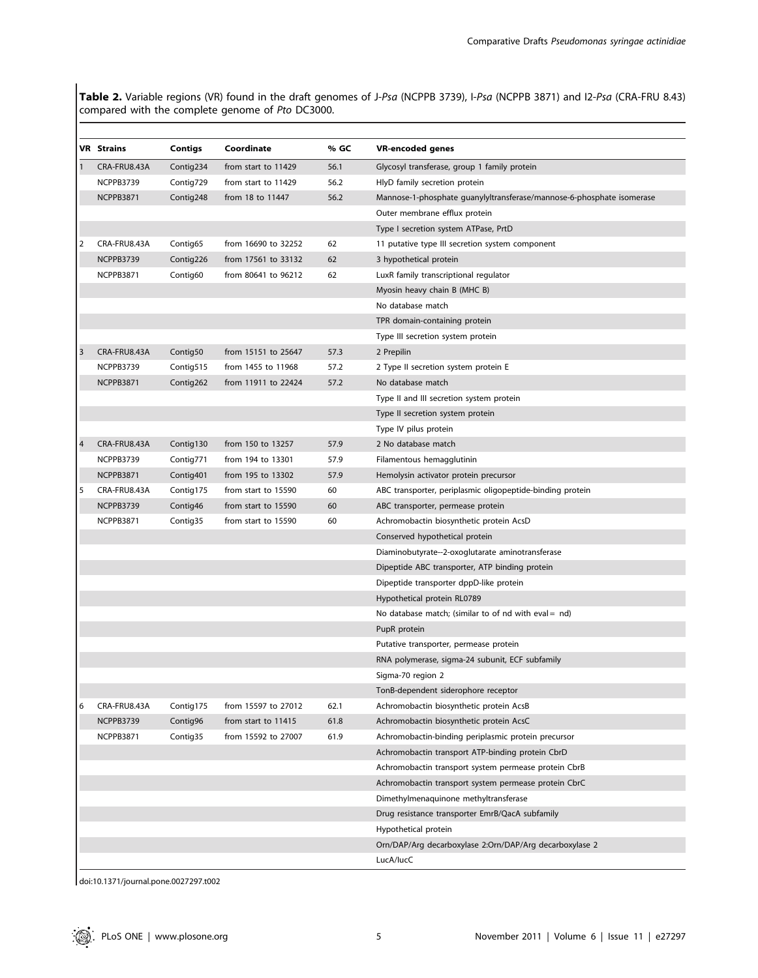Table 2. Variable regions (VR) found in the draft genomes of J-Psa (NCPPB 3739), I-Psa (NCPPB 3871) and I2-Psa (CRA-FRU 8.43) compared with the complete genome of Pto DC3000.

|   | VR Strains   | Contigs   | Coordinate          | % GC | <b>VR-encoded genes</b>                                                                  |
|---|--------------|-----------|---------------------|------|------------------------------------------------------------------------------------------|
|   | CRA-FRU8.43A | Contig234 | from start to 11429 | 56.1 | Glycosyl transferase, group 1 family protein                                             |
|   | NCPPB3739    | Contig729 | from start to 11429 | 56.2 | HlyD family secretion protein                                                            |
|   | NCPPB3871    | Contig248 | from 18 to 11447    | 56.2 | Mannose-1-phosphate quanylyltransferase/mannose-6-phosphate isomerase                    |
|   |              |           |                     |      | Outer membrane efflux protein                                                            |
|   |              |           |                     |      | Type I secretion system ATPase, PrtD                                                     |
| 2 | CRA-FRU8.43A | Contig65  | from 16690 to 32252 | 62   | 11 putative type III secretion system component                                          |
|   | NCPPB3739    | Contig226 | from 17561 to 33132 | 62   | 3 hypothetical protein                                                                   |
|   | NCPPB3871    | Contig60  | from 80641 to 96212 | 62   | LuxR family transcriptional regulator                                                    |
|   |              |           |                     |      | Myosin heavy chain B (MHC B)                                                             |
|   |              |           |                     |      | No database match                                                                        |
|   |              |           |                     |      | TPR domain-containing protein                                                            |
|   |              |           |                     |      | Type III secretion system protein                                                        |
| 3 | CRA-FRU8.43A | Contig50  | from 15151 to 25647 | 57.3 | 2 Prepilin                                                                               |
|   | NCPPB3739    | Contig515 | from 1455 to 11968  | 57.2 | 2 Type II secretion system protein E                                                     |
|   | NCPPB3871    | Contig262 | from 11911 to 22424 | 57.2 | No database match                                                                        |
|   |              |           |                     |      | Type II and III secretion system protein                                                 |
|   |              |           |                     |      | Type II secretion system protein                                                         |
|   |              |           |                     |      | Type IV pilus protein                                                                    |
| 4 | CRA-FRU8.43A | Contig130 | from 150 to 13257   | 57.9 | 2 No database match                                                                      |
|   | NCPPB3739    | Contig771 | from 194 to 13301   | 57.9 | Filamentous hemagglutinin                                                                |
|   | NCPPB3871    | Contig401 | from 195 to 13302   | 57.9 | Hemolysin activator protein precursor                                                    |
| 5 | CRA-FRU8.43A | Contig175 | from start to 15590 | 60   | ABC transporter, periplasmic oligopeptide-binding protein                                |
|   | NCPPB3739    | Contig46  | from start to 15590 | 60   | ABC transporter, permease protein                                                        |
|   | NCPPB3871    | Contig35  | from start to 15590 | 60   | Achromobactin biosynthetic protein AcsD                                                  |
|   |              |           |                     |      | Conserved hypothetical protein                                                           |
|   |              |           |                     |      | Diaminobutyrate--2-oxoglutarate aminotransferase                                         |
|   |              |           |                     |      | Dipeptide ABC transporter, ATP binding protein                                           |
|   |              |           |                     |      | Dipeptide transporter dppD-like protein                                                  |
|   |              |           |                     |      | Hypothetical protein RL0789                                                              |
|   |              |           |                     |      | No database match; (similar to of nd with eval = $nd$ )                                  |
|   |              |           |                     |      | PupR protein                                                                             |
|   |              |           |                     |      | Putative transporter, permease protein                                                   |
|   |              |           |                     |      | RNA polymerase, sigma-24 subunit, ECF subfamily                                          |
|   |              |           |                     |      | Sigma-70 region 2                                                                        |
|   |              |           |                     |      | TonB-dependent siderophore receptor                                                      |
| 6 | CRA-FRU8.43A | Contig175 | from 15597 to 27012 | 62.1 | Achromobactin biosynthetic protein AcsB                                                  |
|   | NCPPB3739    | Contig96  | from start to 11415 | 61.8 | Achromobactin biosynthetic protein AcsC                                                  |
|   | NCPPB3871    | Contig35  | from 15592 to 27007 | 61.9 | Achromobactin-binding periplasmic protein precursor                                      |
|   |              |           |                     |      | Achromobactin transport ATP-binding protein CbrD                                         |
|   |              |           |                     |      | Achromobactin transport system permease protein CbrB                                     |
|   |              |           |                     |      | Achromobactin transport system permease protein CbrC                                     |
|   |              |           |                     |      | Dimethylmenaquinone methyltransferase<br>Drug resistance transporter EmrB/QacA subfamily |
|   |              |           |                     |      |                                                                                          |
|   |              |           |                     |      | Hypothetical protein<br>Orn/DAP/Arg decarboxylase 2:Orn/DAP/Arg decarboxylase 2          |
|   |              |           |                     |      | LucA/lucC                                                                                |
|   |              |           |                     |      |                                                                                          |

doi:10.1371/journal.pone.0027297.t002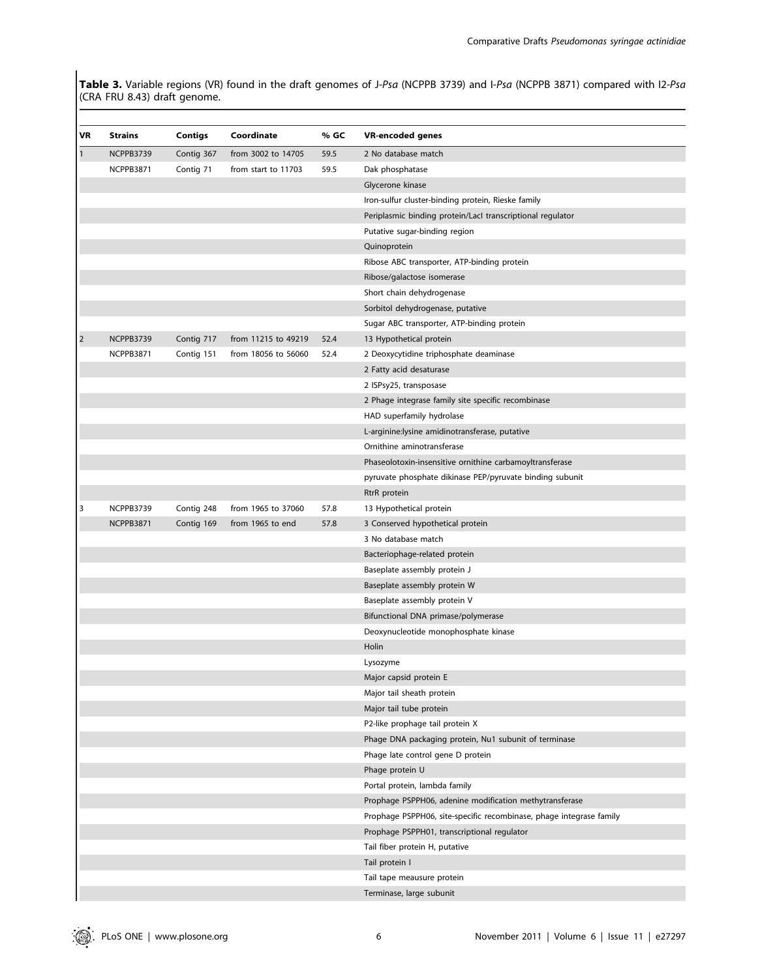Table 3. Variable regions (VR) found in the draft genomes of J-Psa (NCPPB 3739) and I-Psa (NCPPB 3871) compared with I2-Psa (CRA FRU 8.43) draft genome.

| VR             | <b>Strains</b> | Contigs                  | Coordinate          | % GC | <b>VR-encoded genes</b>                                             |
|----------------|----------------|--------------------------|---------------------|------|---------------------------------------------------------------------|
| $\mathbf{1}$   | NCPPB3739      | Contig 367               | from 3002 to 14705  | 59.5 | 2 No database match                                                 |
|                | NCPPB3871      | Contig 71                | from start to 11703 | 59.5 | Dak phosphatase                                                     |
|                |                |                          |                     |      | Glycerone kinase                                                    |
|                |                |                          |                     |      | Iron-sulfur cluster-binding protein, Rieske family                  |
|                |                |                          |                     |      | Periplasmic binding protein/Lacl transcriptional regulator          |
|                |                |                          |                     |      | Putative sugar-binding region                                       |
|                |                |                          |                     |      | Quinoprotein                                                        |
|                |                |                          |                     |      | Ribose ABC transporter, ATP-binding protein                         |
|                |                |                          |                     |      | Ribose/galactose isomerase                                          |
|                |                |                          |                     |      | Short chain dehydrogenase                                           |
|                |                |                          |                     |      | Sorbitol dehydrogenase, putative                                    |
|                |                |                          |                     |      | Sugar ABC transporter, ATP-binding protein                          |
| $\overline{2}$ | NCPPB3739      | Contig 717               | from 11215 to 49219 | 52.4 | 13 Hypothetical protein                                             |
|                | NCPPB3871      | Contig 151               | from 18056 to 56060 | 52.4 | 2 Deoxycytidine triphosphate deaminase                              |
|                |                |                          |                     |      | 2 Fatty acid desaturase                                             |
|                |                |                          |                     |      | 2 ISPsy25, transposase                                              |
|                |                |                          |                     |      | 2 Phage integrase family site specific recombinase                  |
|                |                |                          |                     |      | HAD superfamily hydrolase                                           |
|                |                |                          |                     |      | L-arginine:lysine amidinotransferase, putative                      |
|                |                |                          |                     |      | Ornithine aminotransferase                                          |
|                |                |                          |                     |      | Phaseolotoxin-insensitive ornithine carbamoyltransferase            |
|                |                |                          |                     |      | pyruvate phosphate dikinase PEP/pyruvate binding subunit            |
|                |                |                          |                     |      |                                                                     |
| 3              | NCPPB3739      |                          | from 1965 to 37060  | 57.8 | RtrR protein                                                        |
|                | NCPPB3871      | Contig 248<br>Contig 169 | from 1965 to end    | 57.8 | 13 Hypothetical protein<br>3 Conserved hypothetical protein         |
|                |                |                          |                     |      | 3 No database match                                                 |
|                |                |                          |                     |      | Bacteriophage-related protein                                       |
|                |                |                          |                     |      | Baseplate assembly protein J                                        |
|                |                |                          |                     |      | Baseplate assembly protein W                                        |
|                |                |                          |                     |      |                                                                     |
|                |                |                          |                     |      | Baseplate assembly protein V                                        |
|                |                |                          |                     |      | Bifunctional DNA primase/polymerase                                 |
|                |                |                          |                     |      | Deoxynucleotide monophosphate kinase                                |
|                |                |                          |                     |      | Holin                                                               |
|                |                |                          |                     |      | Lysozyme                                                            |
|                |                |                          |                     |      | Major capsid protein E                                              |
|                |                |                          |                     |      | Major tail sheath protein                                           |
|                |                |                          |                     |      | Major tail tube protein                                             |
|                |                |                          |                     |      | P2-like prophage tail protein X                                     |
|                |                |                          |                     |      | Phage DNA packaging protein, Nu1 subunit of terminase               |
|                |                |                          |                     |      | Phage late control gene D protein                                   |
|                |                |                          |                     |      | Phage protein U                                                     |
|                |                |                          |                     |      | Portal protein, lambda family                                       |
|                |                |                          |                     |      | Prophage PSPPH06, adenine modification methytransferase             |
|                |                |                          |                     |      | Prophage PSPPH06, site-specific recombinase, phage integrase family |
|                |                |                          |                     |      | Prophage PSPPH01, transcriptional regulator                         |
|                |                |                          |                     |      | Tail fiber protein H, putative                                      |
|                |                |                          |                     |      | Tail protein I                                                      |
|                |                |                          |                     |      | Tail tape meausure protein                                          |
|                |                |                          |                     |      | Terminase, large subunit                                            |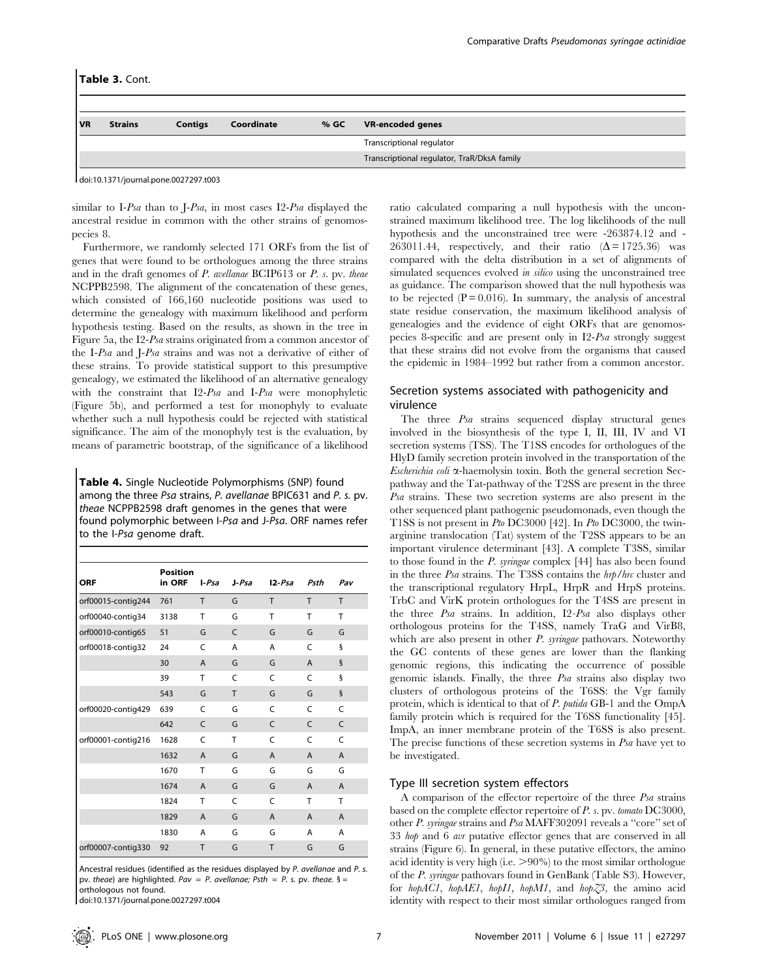|           | Table 3. Cont. |                |            |      |                                             |
|-----------|----------------|----------------|------------|------|---------------------------------------------|
|           |                |                |            |      |                                             |
| <b>VR</b> | <b>Strains</b> | <b>Contigs</b> | Coordinate | % GC | <b>VR-encoded genes</b>                     |
|           |                |                |            |      | Transcriptional regulator                   |
|           |                |                |            |      | Transcriptional regulator, TraR/DksA family |
|           |                |                |            |      |                                             |

doi:10.1371/journal.pone.0027297.t003

 $\mathbf{I}$ 

similar to I-Psa than to J-Psa, in most cases I2-Psa displayed the ancestral residue in common with the other strains of genomospecies 8.

Furthermore, we randomly selected 171 ORFs from the list of genes that were found to be orthologues among the three strains and in the draft genomes of P. avellanae BCIP613 or P. s. pv. theae NCPPB2598. The alignment of the concatenation of these genes, which consisted of 166,160 nucleotide positions was used to determine the genealogy with maximum likelihood and perform hypothesis testing. Based on the results, as shown in the tree in Figure 5a, the I2-Psa strains originated from a common ancestor of the I-Psa and J-Psa strains and was not a derivative of either of these strains. To provide statistical support to this presumptive genealogy, we estimated the likelihood of an alternative genealogy with the constraint that I2-Psa and I-Psa were monophyletic (Figure 5b), and performed a test for monophyly to evaluate whether such a null hypothesis could be rejected with statistical significance. The aim of the monophyly test is the evaluation, by means of parametric bootstrap, of the significance of a likelihood

Table 4. Single Nucleotide Polymorphisms (SNP) found among the three Psa strains, P. avellanae BPIC631 and P. s. pv. theae NCPPB2598 draft genomes in the genes that were found polymorphic between I-Psa and J-Psa. ORF names refer to the I-Psa genome draft.

| <b>ORF</b>         | <b>Position</b><br>in ORF | $I-Psa$        | $J-Psa$       | $12-Psa$       | Psth           | Pav            |
|--------------------|---------------------------|----------------|---------------|----------------|----------------|----------------|
| orf00015-contig244 | 761                       | T              | G             | T              | T              | T              |
| orf00040-contig34  | 3138                      | т              | G             | T              | T              | T              |
| orf00010-contig65  | 51                        | G              | $\mathcal{C}$ | G              | G              | G              |
| orf00018-contig32  | 24                        | C              | A             | A              | $\mathsf{C}$   | ş              |
|                    | 30                        | $\overline{A}$ | G             | G              | $\overline{A}$ | $\S$           |
|                    | 39                        | T              | C             | C              | $\mathsf{C}$   | ş              |
|                    | 543                       | G              | T             | G              | G              | $\S$           |
| orf00020-contig429 | 639                       | C              | G             | C              | $\mathsf{C}$   | C              |
|                    | 642                       | $\mathsf{C}$   | G             | $\mathsf{C}$   | $\mathsf{C}$   | C              |
| orf00001-contig216 | 1628                      | C              | T             | C              | $\mathsf{C}$   | Ċ              |
|                    | 1632                      | $\overline{A}$ | G             | $\overline{A}$ | $\overline{A}$ | $\overline{A}$ |
|                    | 1670                      | T              | G             | G              | G              | G              |
|                    | 1674                      | $\overline{A}$ | G             | G              | $\overline{A}$ | A              |
|                    | 1824                      | T              | C             | C              | T              | T              |
|                    | 1829                      | A              | G             | $\overline{A}$ | $\overline{A}$ | A              |
|                    | 1830                      | A              | G             | G              | А              | A              |
| orf00007-contig330 | 92                        | T              | G             | T              | G              | G              |

Ancestral residues (identified as the residues displayed by P. avellanae and P. s. pv. theae) are highlighted. Pav = P. avellanae; Psth = P. s. pv. theae.  $\delta$  = orthologous not found.

doi:10.1371/journal.pone.0027297.t004

ratio calculated comparing a null hypothesis with the unconstrained maximum likelihood tree. The log likelihoods of the null hypothesis and the unconstrained tree were -263874.12 and - 263011.44, respectively, and their ratio  $(\Delta = 1725.36)$  was compared with the delta distribution in a set of alignments of simulated sequences evolved *in silico* using the unconstrained tree as guidance. The comparison showed that the null hypothesis was to be rejected  $(P = 0.016)$ . In summary, the analysis of ancestral state residue conservation, the maximum likelihood analysis of genealogies and the evidence of eight ORFs that are genomospecies 8-specific and are present only in I2-Psa strongly suggest that these strains did not evolve from the organisms that caused the epidemic in 1984–1992 but rather from a common ancestor.

# Secretion systems associated with pathogenicity and virulence

The three Psa strains sequenced display structural genes involved in the biosynthesis of the type I, II, III, IV and VI secretion systems (TSS). The T1SS encodes for orthologues of the HlyD family secretion protein involved in the transportation of the  $Escherichia coli$   $\alpha$ -haemolysin toxin. Both the general secretion Secpathway and the Tat-pathway of the T2SS are present in the three Psa strains. These two secretion systems are also present in the other sequenced plant pathogenic pseudomonads, even though the T1SS is not present in Pto DC3000 [42]. In Pto DC3000, the twinarginine translocation (Tat) system of the T2SS appears to be an important virulence determinant [43]. A complete T3SS, similar to those found in the P. syringae complex [44] has also been found in the three Psa strains. The T3SS contains the hrp/hrc cluster and the transcriptional regulatory HrpL, HrpR and HrpS proteins. TrbC and VirK protein orthologues for the T4SS are present in the three Psa strains. In addition, I2-Psa also displays other orthologous proteins for the T4SS, namely TraG and VirB8, which are also present in other  $P$ . syringae pathovars. Noteworthy the GC contents of these genes are lower than the flanking genomic regions, this indicating the occurrence of possible genomic islands. Finally, the three Psa strains also display two clusters of orthologous proteins of the T6SS: the Vgr family protein, which is identical to that of P. putida GB-1 and the OmpA family protein which is required for the T6SS functionality [45]. ImpA, an inner membrane protein of the T6SS is also present. The precise functions of these secretion systems in Psa have yet to be investigated.

#### Type III secretion system effectors

A comparison of the effector repertoire of the three Psa strains based on the complete effector repertoire of P. s. pv. tomato DC3000, other P. syringae strains and Psa MAFF302091 reveals a ''core'' set of 33 hop and 6 avr putative effector genes that are conserved in all strains (Figure 6). In general, in these putative effectors, the amino acid identity is very high (i.e.  $>90\%$ ) to the most similar orthologue of the P. syringae pathovars found in GenBank (Table S3). However, for hopAC1, hopAE1, hopI1, hopM1, and hopZ3, the amino acid identity with respect to their most similar orthologues ranged from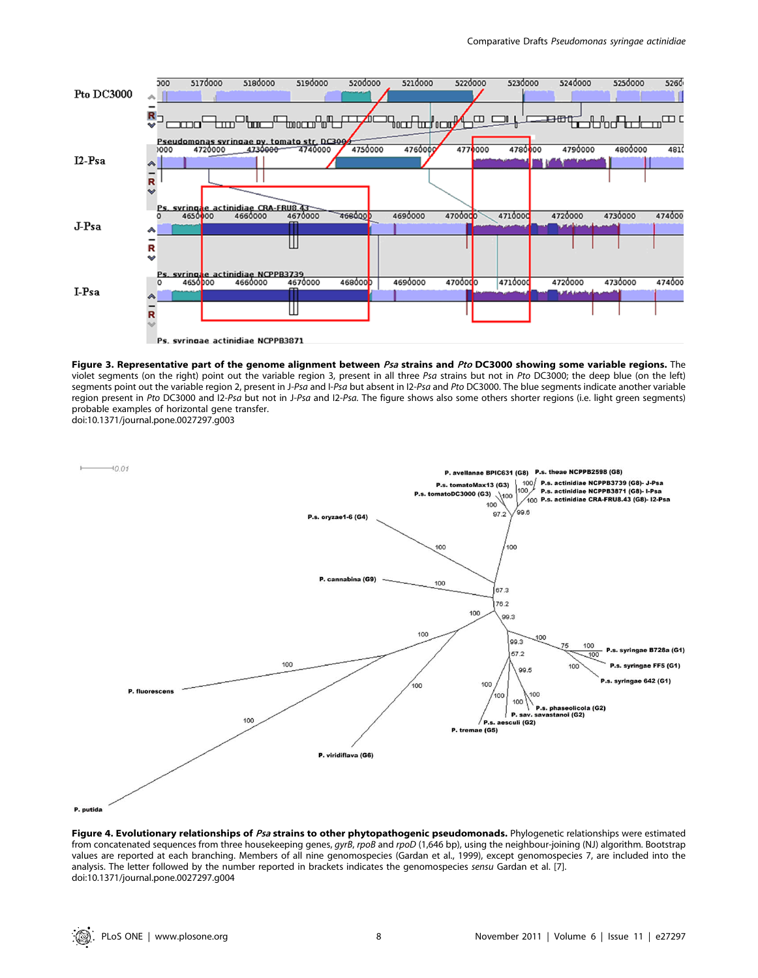

Figure 3. Representative part of the genome alignment between Psa strains and Pto DC3000 showing some variable regions. The violet segments (on the right) point out the variable region 3, present in all three Psa strains but not in Pto DC3000; the deep blue (on the left) segments point out the variable region 2, present in J-Psa and I-Psa but absent in I2-Psa and Pto DC3000. The blue segments indicate another variable region present in Pto DC3000 and I2-Psa but not in J-Psa and I2-Psa. The figure shows also some others shorter regions (i.e. light green segments) probable examples of horizontal gene transfer.

doi:10.1371/journal.pone.0027297.g003



Figure 4. Evolutionary relationships of Psa strains to other phytopathogenic pseudomonads. Phylogenetic relationships were estimated from concatenated sequences from three housekeeping genes, gyrB, rpoB and rpoD (1,646 bp), using the neighbour-joining (NJ) algorithm. Bootstrap values are reported at each branching. Members of all nine genomospecies (Gardan et al., 1999), except genomospecies 7, are included into the analysis. The letter followed by the number reported in brackets indicates the genomospecies sensu Gardan et al. [7]. doi:10.1371/journal.pone.0027297.g004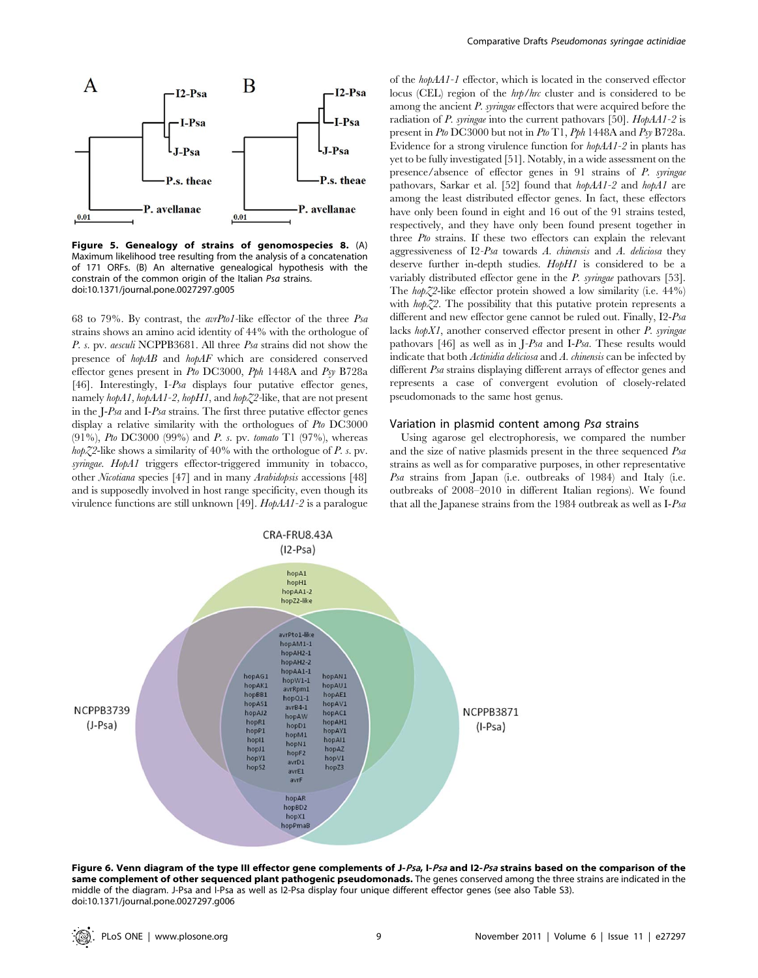

Figure 5. Genealogy of strains of genomospecies 8. (A) Maximum likelihood tree resulting from the analysis of a concatenation of 171 ORFs. (B) An alternative genealogical hypothesis with the constrain of the common origin of the Italian Psa strains. doi:10.1371/journal.pone.0027297.g005

68 to 79%. By contrast, the  $avrPtoI$ -like effector of the three  $Psa$ strains shows an amino acid identity of 44% with the orthologue of P. s. pv. aesculi NCPPB3681. All three Psa strains did not show the presence of hopAB and hopAF which are considered conserved effector genes present in Pto DC3000, Pph 1448A and Psy B728a [46]. Interestingly, I-Psa displays four putative effector genes, namely hopA1, hopAA1-2, hopH1, and hopZ2-like, that are not present in the J-Psa and I-Psa strains. The first three putative effector genes display a relative similarity with the orthologues of Pto DC3000 (91%), Pto DC3000 (99%) and P. s. pv. tomato T1 (97%), whereas  $h \phi Z^2$ -like shows a similarity of 40% with the orthologue of P. s. pv. syringae. HopA1 triggers effector-triggered immunity in tobacco, other Nicotiana species [47] and in many Arabidopsis accessions [48] and is supposedly involved in host range specificity, even though its virulence functions are still unknown [49]. HopAA1-2 is a paralogue

of the hopAA1-1 effector, which is located in the conserved effector locus (CEL) region of the hrp/hrc cluster and is considered to be among the ancient P. syringae effectors that were acquired before the radiation of P. syringae into the current pathovars [50].  $H \circ \rho A A1 - 2$  is present in Pto DC3000 but not in Pto T1, Pph 1448A and Psy B728a. Evidence for a strong virulence function for hopAA1-2 in plants has yet to be fully investigated [51]. Notably, in a wide assessment on the presence/absence of effector genes in 91 strains of P. syringae pathovars, Sarkar et al. [52] found that hopAA1-2 and hopA1 are among the least distributed effector genes. In fact, these effectors have only been found in eight and 16 out of the 91 strains tested, respectively, and they have only been found present together in three Pto strains. If these two effectors can explain the relevant aggressiveness of I2-Psa towards A. chinensis and A. deliciosa they deserve further in-depth studies. HopH1 is considered to be a variably distributed effector gene in the P. syringae pathovars [53]. The hopZ2-like effector protein showed a low similarity (i.e.  $44\%$ ) with  $h \circ \phi$  Z2. The possibility that this putative protein represents a different and new effector gene cannot be ruled out. Finally, I2-Psa lacks  $hopXI$ , another conserved effector present in other  $P$ . syringae pathovars [46] as well as in J-Psa and I-Psa. These results would indicate that both Actinidia deliciosa and A. chinensis can be infected by different Psa strains displaying different arrays of effector genes and represents a case of convergent evolution of closely-related pseudomonads to the same host genus.

## Variation in plasmid content among Psa strains

Using agarose gel electrophoresis, we compared the number and the size of native plasmids present in the three sequenced Psa strains as well as for comparative purposes, in other representative Psa strains from Japan (i.e. outbreaks of 1984) and Italy (i.e. outbreaks of 2008–2010 in different Italian regions). We found that all the Japanese strains from the 1984 outbreak as well as I-Psa



Figure 6. Venn diagram of the type III effector gene complements of J-Psa, I-Psa and I2-Psa strains based on the comparison of the same complement of other sequenced plant pathogenic pseudomonads. The genes conserved among the three strains are indicated in the middle of the diagram. J-Psa and I-Psa as well as I2-Psa display four unique different effector genes (see also Table S3). doi:10.1371/journal.pone.0027297.g006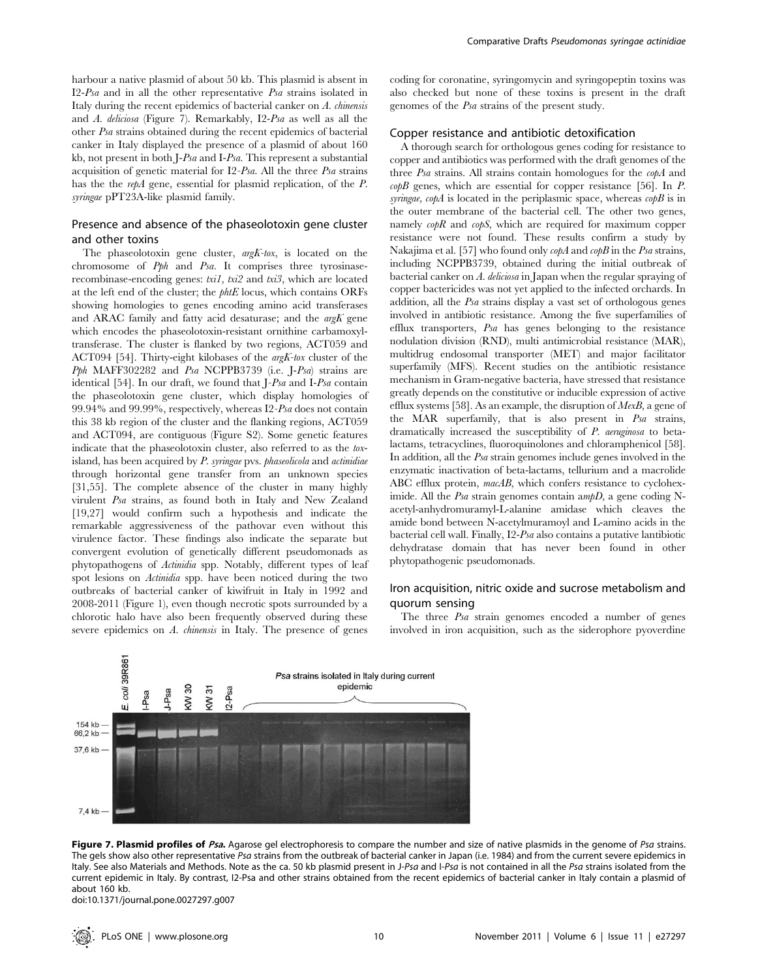harbour a native plasmid of about 50 kb. This plasmid is absent in I2-Psa and in all the other representative Psa strains isolated in Italy during the recent epidemics of bacterial canker on A. chinensis and A. deliciosa (Figure 7). Remarkably, I2-Psa as well as all the other Psa strains obtained during the recent epidemics of bacterial canker in Italy displayed the presence of a plasmid of about 160 kb, not present in both J-Psa and I-Psa. This represent a substantial acquisition of genetic material for I2-Psa. All the three Psa strains has the the repA gene, essential for plasmid replication, of the P. syringae pPT23A-like plasmid family.

# Presence and absence of the phaseolotoxin gene cluster and other toxins

The phaseolotoxin gene cluster,  $argK-tox$ , is located on the chromosome of Pph and Psa. It comprises three tyrosinaserecombinase-encoding genes: txi1, txi2 and txi3, which are located at the left end of the cluster; the phtE locus, which contains ORFs showing homologies to genes encoding amino acid transferases and ARAC family and fatty acid desaturase; and the  $\arg K$  gene which encodes the phaseolotoxin-resistant ornithine carbamoxyltransferase. The cluster is flanked by two regions, ACT059 and ACT094 [54]. Thirty-eight kilobases of the argK-tox cluster of the Pph MAFF302282 and Psa NCPPB3739 (i.e. J-Psa) strains are identical [54]. In our draft, we found that J-Psa and I-Psa contain the phaseolotoxin gene cluster, which display homologies of 99.94% and 99.99%, respectively, whereas I2-Psa does not contain this 38 kb region of the cluster and the flanking regions, ACT059 and ACT094, are contiguous (Figure S2). Some genetic features indicate that the phaseolotoxin cluster, also referred to as the toxisland, has been acquired by P. syringae pvs. phaseolicola and actinidiae through horizontal gene transfer from an unknown species [31,55]. The complete absence of the cluster in many highly virulent Psa strains, as found both in Italy and New Zealand [19,27] would confirm such a hypothesis and indicate the remarkable aggressiveness of the pathovar even without this virulence factor. These findings also indicate the separate but convergent evolution of genetically different pseudomonads as phytopathogens of Actinidia spp. Notably, different types of leaf spot lesions on Actinidia spp. have been noticed during the two outbreaks of bacterial canker of kiwifruit in Italy in 1992 and 2008-2011 (Figure 1), even though necrotic spots surrounded by a chlorotic halo have also been frequently observed during these severe epidemics on A. chinensis in Italy. The presence of genes coding for coronatine, syringomycin and syringopeptin toxins was also checked but none of these toxins is present in the draft genomes of the Psa strains of the present study.

## Copper resistance and antibiotic detoxification

A thorough search for orthologous genes coding for resistance to copper and antibiotics was performed with the draft genomes of the three Psa strains. All strains contain homologues for the copA and  $\alpha$ <sub>0</sub> $\beta$  genes, which are essential for copper resistance [56]. In *P*. syringae,  $\alpha$ *pA* is located in the periplasmic space, whereas  $\alpha$ *pB* is in the outer membrane of the bacterial cell. The other two genes, namely  $\alpha \phi R$  and  $\alpha \phi S$ , which are required for maximum copper resistance were not found. These results confirm a study by Nakajima et al. [57] who found only  $\alpha \rho A$  and  $\alpha \rho B$  in the *Psa* strains, including NCPPB3739, obtained during the initial outbreak of bacterial canker on A. deliciosa in Japan when the regular spraying of copper bactericides was not yet applied to the infected orchards. In addition, all the Psa strains display a vast set of orthologous genes involved in antibiotic resistance. Among the five superfamilies of efflux transporters, Psa has genes belonging to the resistance nodulation division (RND), multi antimicrobial resistance (MAR), multidrug endosomal transporter (MET) and major facilitator superfamily (MFS). Recent studies on the antibiotic resistance mechanism in Gram-negative bacteria, have stressed that resistance greatly depends on the constitutive or inducible expression of active efflux systems [58]. As an example, the disruption of  $MexB$ , a gene of the MAR superfamily, that is also present in Psa strains, dramatically increased the susceptibility of P. aeruginosa to betalactams, tetracyclines, fluoroquinolones and chloramphenicol [58]. In addition, all the Psa strain genomes include genes involved in the enzymatic inactivation of beta-lactams, tellurium and a macrolide ABC efflux protein, macAB, which confers resistance to cycloheximide. All the Psa strain genomes contain  $\alpha m pD$ , a gene coding Nacetyl-anhydromuramyl-L-alanine amidase which cleaves the amide bond between N-acetylmuramoyl and L-amino acids in the bacterial cell wall. Finally, I2-Psa also contains a putative lantibiotic dehydratase domain that has never been found in other phytopathogenic pseudomonads.

# Iron acquisition, nitric oxide and sucrose metabolism and quorum sensing

The three Psa strain genomes encoded a number of genes involved in iron acquisition, such as the siderophore pyoverdine



Figure 7. Plasmid profiles of Psa. Agarose gel electrophoresis to compare the number and size of native plasmids in the genome of Psa strains. The gels show also other representative Psa strains from the outbreak of bacterial canker in Japan (i.e. 1984) and from the current severe epidemics in Italy. See also Materials and Methods. Note as the ca. 50 kb plasmid present in J-Psa and I-Psa is not contained in all the Psa strains isolated from the current epidemic in Italy. By contrast, I2-Psa and other strains obtained from the recent epidemics of bacterial canker in Italy contain a plasmid of about 160 kb.

doi:10.1371/journal.pone.0027297.g007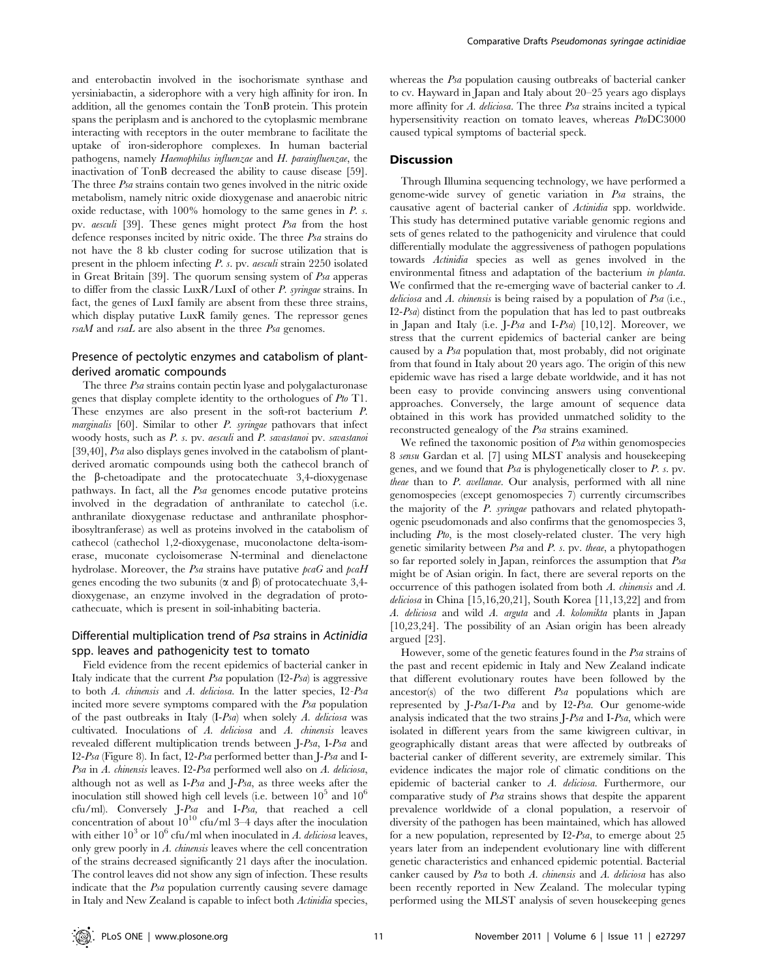and enterobactin involved in the isochorismate synthase and yersiniabactin, a siderophore with a very high affinity for iron. In addition, all the genomes contain the TonB protein. This protein spans the periplasm and is anchored to the cytoplasmic membrane interacting with receptors in the outer membrane to facilitate the uptake of iron-siderophore complexes. In human bacterial pathogens, namely Haemophilus influenzae and H. parainfluenzae, the inactivation of TonB decreased the ability to cause disease [59]. The three *Psa* strains contain two genes involved in the nitric oxide metabolism, namely nitric oxide dioxygenase and anaerobic nitric oxide reductase, with  $100\%$  homology to the same genes in  $P$ . s. pv. aesculi [39]. These genes might protect Psa from the host defence responses incited by nitric oxide. The three Psa strains do not have the 8 kb cluster coding for sucrose utilization that is present in the phloem infecting P. s. pv. aesculi strain 2250 isolated in Great Britain [39]. The quorum sensing system of Psa apperas to differ from the classic LuxR/LuxI of other P. syringae strains. In fact, the genes of LuxI family are absent from these three strains, which display putative LuxR family genes. The repressor genes  $rsaM$  and  $rsaL$  are also absent in the three  $Psa$  genomes.

# Presence of pectolytic enzymes and catabolism of plantderived aromatic compounds

The three Psa strains contain pectin lyase and polygalacturonase genes that display complete identity to the orthologues of Pto T1. These enzymes are also present in the soft-rot bacterium P. marginalis [60]. Similar to other P. syringae pathovars that infect woody hosts, such as P. s. pv. aesculi and P. savastanoi pv. savastanoi [39,40], Psa also displays genes involved in the catabolism of plantderived aromatic compounds using both the cathecol branch of the b-chetoadipate and the protocatechuate 3,4-dioxygenase pathways. In fact, all the Psa genomes encode putative proteins involved in the degradation of anthranilate to catechol (i.e. anthranilate dioxygenase reductase and anthranilate phosphoribosyltranferase) as well as proteins involved in the catabolism of cathecol (cathechol 1,2-dioxygenase, muconolactone delta-isomerase, muconate cycloisomerase N-terminal and dienelactone hydrolase. Moreover, the Psa strains have putative  $\beta$  and  $\beta$  and  $\beta$ genes encoding the two subunits  $(\alpha \text{ and } \beta)$  of protocatechuate 3,4dioxygenase, an enzyme involved in the degradation of protocathecuate, which is present in soil-inhabiting bacteria.

# Differential multiplication trend of Psa strains in Actinidia spp. leaves and pathogenicity test to tomato

Field evidence from the recent epidemics of bacterial canker in Italy indicate that the current  $P<sub>5a</sub>$  population  $(12-P<sub>5a</sub>)$  is aggressive to both A. chinensis and A. deliciosa. In the latter species, I2-Psa incited more severe symptoms compared with the Psa population of the past outbreaks in Italy  $(I-Psa)$  when solely A. deliciosa was cultivated. Inoculations of A. deliciosa and A. chinensis leaves revealed different multiplication trends between J-Psa, I-Psa and I2-Psa (Figure 8). In fact, I2-Psa performed better than J-Psa and I-Psa in A. chinensis leaves. I2-Psa performed well also on A. deliciosa, although not as well as I-Psa and J-Psa, as three weeks after the inoculation still showed high cell levels (i.e. between  $10^5$  and  $10^6$ cfu/ml). Conversely J-Psa and I-Psa, that reached a cell concentration of about  $10^{10}$  cfu/ml 3–4 days after the inoculation with either  $10^3$  or  $10^6$  cfu/ml when inoculated in A. deliciosa leaves, only grew poorly in A. chinensis leaves where the cell concentration of the strains decreased significantly 21 days after the inoculation. The control leaves did not show any sign of infection. These results indicate that the Psa population currently causing severe damage in Italy and New Zealand is capable to infect both Actinidia species,

whereas the Psa population causing outbreaks of bacterial canker to cv. Hayward in Japan and Italy about 20–25 years ago displays more affinity for A. deliciosa. The three Psa strains incited a typical hypersensitivity reaction on tomato leaves, whereas PtoDC3000 caused typical symptoms of bacterial speck.

# **Discussion**

Through Illumina sequencing technology, we have performed a genome-wide survey of genetic variation in Psa strains, the causative agent of bacterial canker of Actinidia spp. worldwide. This study has determined putative variable genomic regions and sets of genes related to the pathogenicity and virulence that could differentially modulate the aggressiveness of pathogen populations towards Actinidia species as well as genes involved in the environmental fitness and adaptation of the bacterium in planta. We confirmed that the re-emerging wave of bacterial canker to A. deliciosa and A. chinensis is being raised by a population of  $P$ sa (i.e.,  $I2-Psa$ ) distinct from the population that has led to past outbreaks in Japan and Italy (i.e. J-Psa and I-Psa) [10,12]. Moreover, we stress that the current epidemics of bacterial canker are being caused by a Psa population that, most probably, did not originate from that found in Italy about 20 years ago. The origin of this new epidemic wave has rised a large debate worldwide, and it has not been easy to provide convincing answers using conventional approaches. Conversely, the large amount of sequence data obtained in this work has provided unmatched solidity to the reconstructed genealogy of the Psa strains examined.

We refined the taxonomic position of Psa within genomospecies 8 sensu Gardan et al. [7] using MLST analysis and housekeeping genes, and we found that  $Psa$  is phylogenetically closer to  $P$ . s. pv. theae than to P. avellanae. Our analysis, performed with all nine genomospecies (except genomospecies 7) currently circumscribes the majority of the P. syringae pathovars and related phytopathogenic pseudomonads and also confirms that the genomospecies 3, including Pto, is the most closely-related cluster. The very high genetic similarity between Psa and P. s. pv. theae, a phytopathogen so far reported solely in Japan, reinforces the assumption that Psa might be of Asian origin. In fact, there are several reports on the occurrence of this pathogen isolated from both A. chinensis and A. deliciosa in China [15,16,20,21], South Korea [11,13,22] and from A. deliciosa and wild A. arguta and A. kolomikta plants in Japan [10,23,24]. The possibility of an Asian origin has been already argued [23].

However, some of the genetic features found in the Psa strains of the past and recent epidemic in Italy and New Zealand indicate that different evolutionary routes have been followed by the ancestor(s) of the two different Psa populations which are represented by J-Psa/I-Psa and by I2-Psa. Our genome-wide analysis indicated that the two strains J-Psa and I-Psa, which were isolated in different years from the same kiwigreen cultivar, in geographically distant areas that were affected by outbreaks of bacterial canker of different severity, are extremely similar. This evidence indicates the major role of climatic conditions on the epidemic of bacterial canker to A. deliciosa. Furthermore, our comparative study of Psa strains shows that despite the apparent prevalence worldwide of a clonal population, a reservoir of diversity of the pathogen has been maintained, which has allowed for a new population, represented by I2-Psa, to emerge about 25 years later from an independent evolutionary line with different genetic characteristics and enhanced epidemic potential. Bacterial canker caused by Psa to both A. chinensis and A. deliciosa has also been recently reported in New Zealand. The molecular typing performed using the MLST analysis of seven housekeeping genes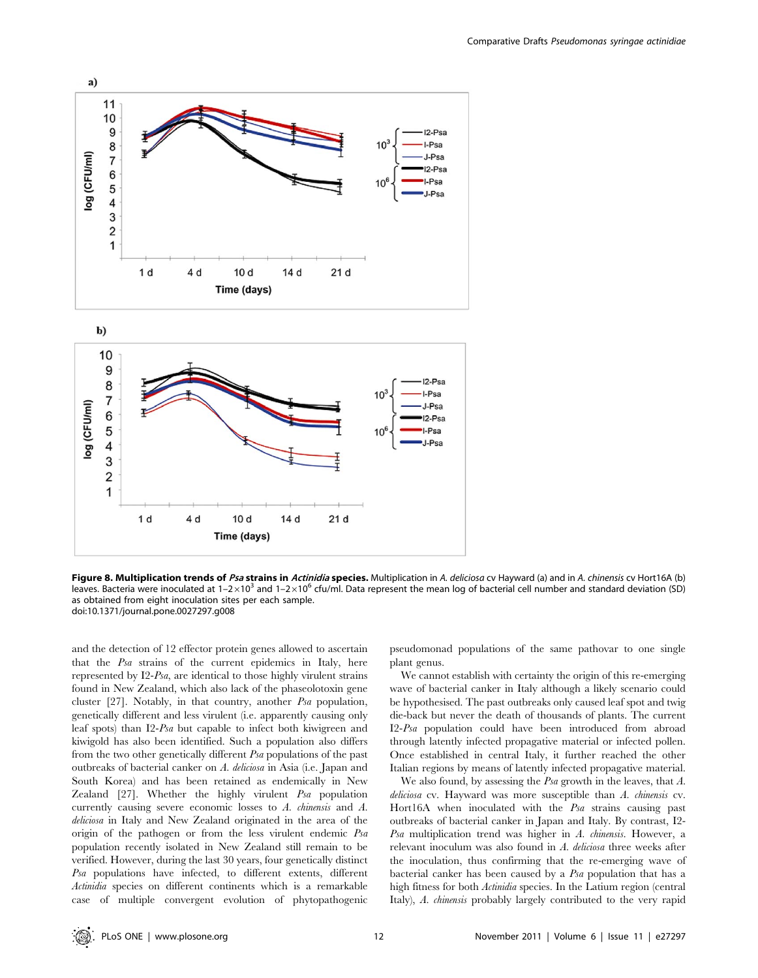

Figure 8. Multiplication trends of Psa strains in Actinidia species. Multiplication in A. deliciosa cv Hayward (a) and in A. chinensis cv Hort16A (b) leaves. Bacteria were inoculated at  $1-2\times10^3$  and  $1-2\times10^6$  cfu/ml. Data represent the mean log of bacterial cell number and standard deviation (SD) as obtained from eight inoculation sites per each sample. doi:10.1371/journal.pone.0027297.g008

and the detection of 12 effector protein genes allowed to ascertain that the Psa strains of the current epidemics in Italy, here represented by I2-Psa, are identical to those highly virulent strains found in New Zealand, which also lack of the phaseolotoxin gene cluster [27]. Notably, in that country, another Psa population, genetically different and less virulent (i.e. apparently causing only leaf spots) than I2-Psa but capable to infect both kiwigreen and kiwigold has also been identified. Such a population also differs from the two other genetically different Psa populations of the past outbreaks of bacterial canker on A. deliciosa in Asia (i.e. Japan and South Korea) and has been retained as endemically in New Zealand [27]. Whether the highly virulent Psa population currently causing severe economic losses to A. chinensis and A. deliciosa in Italy and New Zealand originated in the area of the origin of the pathogen or from the less virulent endemic Psa population recently isolated in New Zealand still remain to be verified. However, during the last 30 years, four genetically distinct Psa populations have infected, to different extents, different Actinidia species on different continents which is a remarkable case of multiple convergent evolution of phytopathogenic pseudomonad populations of the same pathovar to one single plant genus.

We cannot establish with certainty the origin of this re-emerging wave of bacterial canker in Italy although a likely scenario could be hypothesised. The past outbreaks only caused leaf spot and twig die-back but never the death of thousands of plants. The current I2-Psa population could have been introduced from abroad through latently infected propagative material or infected pollen. Once established in central Italy, it further reached the other Italian regions by means of latently infected propagative material.

We also found, by assessing the  $Psa$  growth in the leaves, that  $A$ . deliciosa cv. Hayward was more susceptible than A. chinensis cv. Hort16A when inoculated with the Psa strains causing past outbreaks of bacterial canker in Japan and Italy. By contrast, I2- Psa multiplication trend was higher in A. chinensis. However, a relevant inoculum was also found in A. deliciosa three weeks after the inoculation, thus confirming that the re-emerging wave of bacterial canker has been caused by a Psa population that has a high fitness for both Actinidia species. In the Latium region (central Italy), A. *chinensis* probably largely contributed to the very rapid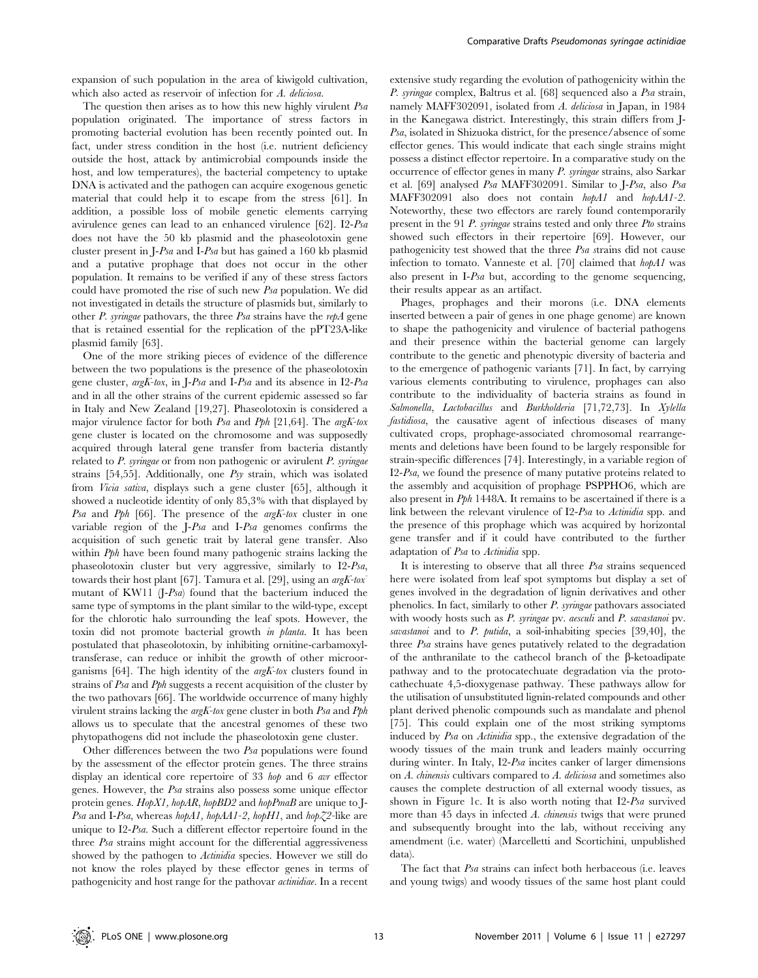expansion of such population in the area of kiwigold cultivation, which also acted as reservoir of infection for A. deliciosa.

The question then arises as to how this new highly virulent Psa population originated. The importance of stress factors in promoting bacterial evolution has been recently pointed out. In fact, under stress condition in the host (i.e. nutrient deficiency outside the host, attack by antimicrobial compounds inside the host, and low temperatures), the bacterial competency to uptake DNA is activated and the pathogen can acquire exogenous genetic material that could help it to escape from the stress [61]. In addition, a possible loss of mobile genetic elements carrying avirulence genes can lead to an enhanced virulence [62]. I2-Psa does not have the 50 kb plasmid and the phaseolotoxin gene cluster present in J-Psa and I-Psa but has gained a 160 kb plasmid and a putative prophage that does not occur in the other population. It remains to be verified if any of these stress factors could have promoted the rise of such new Psa population. We did not investigated in details the structure of plasmids but, similarly to other P. syringae pathovars, the three Psa strains have the repA gene that is retained essential for the replication of the pPT23A-like plasmid family [63].

One of the more striking pieces of evidence of the difference between the two populations is the presence of the phaseolotoxin gene cluster, argK-tox, in J-Psa and I-Psa and its absence in I2-Psa and in all the other strains of the current epidemic assessed so far in Italy and New Zealand [19,27]. Phaseolotoxin is considered a major virulence factor for both Psa and Pph [21,64]. The argK-tox gene cluster is located on the chromosome and was supposedly acquired through lateral gene transfer from bacteria distantly related to  $P$ . syringae or from non pathogenic or avirulent  $P$ . syringae strains [54,55]. Additionally, one Psy strain, which was isolated from Vicia sativa, displays such a gene cluster [65], although it showed a nucleotide identity of only 85,3% with that displayed by Psa and Pph [66]. The presence of the argK-tox cluster in one variable region of the J-Psa and I-Psa genomes confirms the acquisition of such genetic trait by lateral gene transfer. Also within *Pph* have been found many pathogenic strains lacking the phaseolotoxin cluster but very aggressive, similarly to I2-Psa, towards their host plant [67]. Tamura et al. [29], using an  $argK-tox$ mutant of KW11 (J-Psa) found that the bacterium induced the same type of symptoms in the plant similar to the wild-type, except for the chlorotic halo surrounding the leaf spots. However, the toxin did not promote bacterial growth in planta. It has been postulated that phaseolotoxin, by inhibiting ornitine-carbamoxyltransferase, can reduce or inhibit the growth of other microorganisms [64]. The high identity of the argK-tox clusters found in strains of Psa and Pph suggests a recent acquisition of the cluster by the two pathovars [66]. The worldwide occurrence of many highly virulent strains lacking the argK-tox gene cluster in both Psa and Pph allows us to speculate that the ancestral genomes of these two phytopathogens did not include the phaseolotoxin gene cluster.

Other differences between the two Psa populations were found by the assessment of the effector protein genes. The three strains display an identical core repertoire of 33 hop and 6 avr effector genes. However, the Psa strains also possess some unique effector protein genes. HopX1, hopAR, hopBD2 and hopPmaB are unique to J-Psa and I-Psa, whereas hopA1, hopAA1-2, hopH1, and hop $Z^2$ -like are unique to I2-Psa. Such a different effector repertoire found in the three Psa strains might account for the differential aggressiveness showed by the pathogen to Actinidia species. However we still do not know the roles played by these effector genes in terms of pathogenicity and host range for the pathovar actinidiae. In a recent extensive study regarding the evolution of pathogenicity within the P. syringae complex, Baltrus et al. [68] sequenced also a Psa strain, namely MAFF302091, isolated from A. deliciosa in Japan, in 1984 in the Kanegawa district. Interestingly, this strain differs from J-Psa, isolated in Shizuoka district, for the presence/absence of some effector genes. This would indicate that each single strains might possess a distinct effector repertoire. In a comparative study on the occurrence of effector genes in many P. syringae strains, also Sarkar et al. [69] analysed Psa MAFF302091. Similar to J-Psa, also Psa MAFF302091 also does not contain  $hopA1$  and  $hopA1-2$ . Noteworthy, these two effectors are rarely found contemporarily present in the 91 P. syringae strains tested and only three Pto strains showed such effectors in their repertoire [69]. However, our pathogenicity test showed that the three Psa strains did not cause infection to tomato. Vanneste et al. [70] claimed that hopA1 was also present in I-Psa but, according to the genome sequencing, their results appear as an artifact.

Phages, prophages and their morons (i.e. DNA elements inserted between a pair of genes in one phage genome) are known to shape the pathogenicity and virulence of bacterial pathogens and their presence within the bacterial genome can largely contribute to the genetic and phenotypic diversity of bacteria and to the emergence of pathogenic variants [71]. In fact, by carrying various elements contributing to virulence, prophages can also contribute to the individuality of bacteria strains as found in Salmonella, Lactobacillus and Burkholderia [71,72,73]. In Xylella fastidiosa, the causative agent of infectious diseases of many cultivated crops, prophage-associated chromosomal rearrangements and deletions have been found to be largely responsible for strain-specific differences [74]. Interestingly, in a variable region of I2-Psa, we found the presence of many putative proteins related to the assembly and acquisition of prophage PSPPHO6, which are also present in Pph 1448A. It remains to be ascertained if there is a link between the relevant virulence of I2-Psa to Actinidia spp. and the presence of this prophage which was acquired by horizontal gene transfer and if it could have contributed to the further adaptation of Psa to Actinidia spp.

It is interesting to observe that all three Psa strains sequenced here were isolated from leaf spot symptoms but display a set of genes involved in the degradation of lignin derivatives and other phenolics. In fact, similarly to other P. syringae pathovars associated with woody hosts such as P. syringae pv. aesculi and P. savastanoi pv. savastanoi and to P. putida, a soil-inhabiting species [39,40], the three Psa strains have genes putatively related to the degradation of the anthranilate to the cathecol branch of the  $\beta$ -ketoadipate pathway and to the protocatechuate degradation via the protocathechuate 4,5-dioxygenase pathway. These pathways allow for the utilisation of unsubstituted lignin-related compounds and other plant derived phenolic compounds such as mandalate and phenol [75]. This could explain one of the most striking symptoms induced by Psa on Actinidia spp., the extensive degradation of the woody tissues of the main trunk and leaders mainly occurring during winter. In Italy, I2-Psa incites canker of larger dimensions on A. chinensis cultivars compared to A. deliciosa and sometimes also causes the complete destruction of all external woody tissues, as shown in Figure 1c. It is also worth noting that I2-Psa survived more than 45 days in infected A. chinensis twigs that were pruned and subsequently brought into the lab, without receiving any amendment (i.e. water) (Marcelletti and Scortichini, unpublished data).

The fact that Psa strains can infect both herbaceous (i.e. leaves and young twigs) and woody tissues of the same host plant could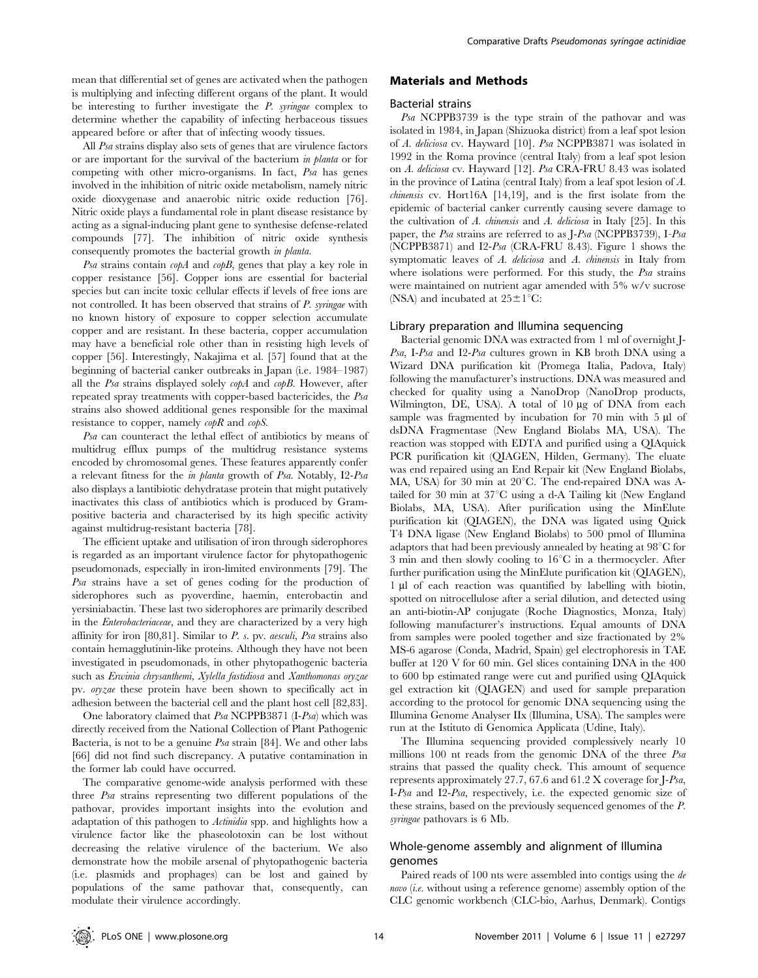mean that differential set of genes are activated when the pathogen is multiplying and infecting different organs of the plant. It would be interesting to further investigate the P. syringae complex to determine whether the capability of infecting herbaceous tissues appeared before or after that of infecting woody tissues.

All Psa strains display also sets of genes that are virulence factors or are important for the survival of the bacterium in planta or for competing with other micro-organisms. In fact, Psa has genes involved in the inhibition of nitric oxide metabolism, namely nitric oxide dioxygenase and anaerobic nitric oxide reduction [76]. Nitric oxide plays a fundamental role in plant disease resistance by acting as a signal-inducing plant gene to synthesise defense-related compounds [77]. The inhibition of nitric oxide synthesis consequently promotes the bacterial growth in planta.

Psa strains contain  $\alpha$ *pA* and  $\alpha$ *pB*, genes that play a key role in copper resistance [56]. Copper ions are essential for bacterial species but can incite toxic cellular effects if levels of free ions are not controlled. It has been observed that strains of P. syringae with no known history of exposure to copper selection accumulate copper and are resistant. In these bacteria, copper accumulation may have a beneficial role other than in resisting high levels of copper [56]. Interestingly, Nakajima et al. [57] found that at the beginning of bacterial canker outbreaks in Japan (i.e. 1984–1987) all the Psa strains displayed solely copA and copB. However, after repeated spray treatments with copper-based bactericides, the Psa strains also showed additional genes responsible for the maximal resistance to copper, namely  $\alpha \rho R$  and  $\alpha \rho S$ .

Psa can counteract the lethal effect of antibiotics by means of multidrug efflux pumps of the multidrug resistance systems encoded by chromosomal genes. These features apparently confer a relevant fitness for the in planta growth of Psa. Notably, I2-Psa also displays a lantibiotic dehydratase protein that might putatively inactivates this class of antibiotics which is produced by Grampositive bacteria and characterised by its high specific activity against multidrug-resistant bacteria [78].

The efficient uptake and utilisation of iron through siderophores is regarded as an important virulence factor for phytopathogenic pseudomonads, especially in iron-limited environments [79]. The Psa strains have a set of genes coding for the production of siderophores such as pyoverdine, haemin, enterobactin and yersiniabactin. These last two siderophores are primarily described in the Enterobacteriaceae, and they are characterized by a very high affinity for iron [80,81]. Similar to P. s. pv. aesculi, Psa strains also contain hemagglutinin-like proteins. Although they have not been investigated in pseudomonads, in other phytopathogenic bacteria such as Erwinia chrysanthemi, Xylella fastidiosa and Xanthomonas oryzae pv. oryzae these protein have been shown to specifically act in adhesion between the bacterial cell and the plant host cell [82,83].

One laboratory claimed that Psa NCPPB3871 (I-Psa) which was directly received from the National Collection of Plant Pathogenic Bacteria, is not to be a genuine  $P$ sa strain [84]. We and other labs [66] did not find such discrepancy. A putative contamination in the former lab could have occurred.

The comparative genome-wide analysis performed with these three Psa strains representing two different populations of the pathovar, provides important insights into the evolution and adaptation of this pathogen to Actinidia spp. and highlights how a virulence factor like the phaseolotoxin can be lost without decreasing the relative virulence of the bacterium. We also demonstrate how the mobile arsenal of phytopathogenic bacteria (i.e. plasmids and prophages) can be lost and gained by populations of the same pathovar that, consequently, can modulate their virulence accordingly.

## Materials and Methods

#### Bacterial strains

Psa NCPPB3739 is the type strain of the pathovar and was isolated in 1984, in Japan (Shizuoka district) from a leaf spot lesion of A. deliciosa cv. Hayward [10]. Psa NCPPB3871 was isolated in 1992 in the Roma province (central Italy) from a leaf spot lesion on A. deliciosa cv. Hayward [12]. Psa CRA-FRU 8.43 was isolated in the province of Latina (central Italy) from a leaf spot lesion of A. chinensis cv. Hort16A [14,19], and is the first isolate from the epidemic of bacterial canker currently causing severe damage to the cultivation of A. chinensis and A. deliciosa in Italy [25]. In this paper, the Psa strains are referred to as J-Psa (NCPPB3739), I-Psa (NCPPB3871) and I2-Psa (CRA-FRU 8.43). Figure 1 shows the symptomatic leaves of A. deliciosa and A. chinensis in Italy from where isolations were performed. For this study, the  $P$ sa strains were maintained on nutrient agar amended with 5% w/v sucrose (NSA) and incubated at  $25\pm1^{\circ}C$ :

#### Library preparation and Illumina sequencing

Bacterial genomic DNA was extracted from 1 ml of overnight J-Psa, I-Psa and I2-Psa cultures grown in KB broth DNA using a Wizard DNA purification kit (Promega Italia, Padova, Italy) following the manufacturer's instructions. DNA was measured and checked for quality using a NanoDrop (NanoDrop products, Wilmington, DE, USA). A total of 10 µg of DNA from each sample was fragmented by incubation for  $70$  min with  $5 \mu$ l of dsDNA Fragmentase (New England Biolabs MA, USA). The reaction was stopped with EDTA and purified using a QIAquick PCR purification kit (QIAGEN, Hilden, Germany). The eluate was end repaired using an End Repair kit (New England Biolabs, MA, USA) for 30 min at  $20^{\circ}$ C. The end-repaired DNA was Atailed for 30 min at  $37^{\circ}$ C using a d-A Tailing kit (New England Biolabs, MA, USA). After purification using the MinElute purification kit (QIAGEN), the DNA was ligated using Quick T4 DNA ligase (New England Biolabs) to 500 pmol of Illumina adaptors that had been previously annealed by heating at  $98^{\circ}$ C for 3 min and then slowly cooling to  $16^{\circ}$ C in a thermocycler. After further purification using the MinElute purification kit (QIAGEN), 1 µl of each reaction was quantified by labelling with biotin, spotted on nitrocellulose after a serial dilution, and detected using an anti-biotin-AP conjugate (Roche Diagnostics, Monza, Italy) following manufacturer's instructions. Equal amounts of DNA from samples were pooled together and size fractionated by 2% MS-6 agarose (Conda, Madrid, Spain) gel electrophoresis in TAE buffer at 120 V for 60 min. Gel slices containing DNA in the 400 to 600 bp estimated range were cut and purified using QIAquick gel extraction kit (QIAGEN) and used for sample preparation according to the protocol for genomic DNA sequencing using the Illumina Genome Analyser IIx (Illumina, USA). The samples were run at the Istituto di Genomica Applicata (Udine, Italy).

The Illumina sequencing provided complessively nearly 10 millions 100 nt reads from the genomic DNA of the three Psa strains that passed the quality check. This amount of sequence represents approximately 27.7, 67.6 and 61.2 X coverage for J-Psa, I-Psa and I2-Psa, respectively, i.e. the expected genomic size of these strains, based on the previously sequenced genomes of the P. syringae pathovars is 6 Mb.

# Whole-genome assembly and alignment of Illumina genomes

Paired reads of 100 nts were assembled into contigs using the de novo (i.e. without using a reference genome) assembly option of the CLC genomic workbench (CLC-bio, Aarhus, Denmark). Contigs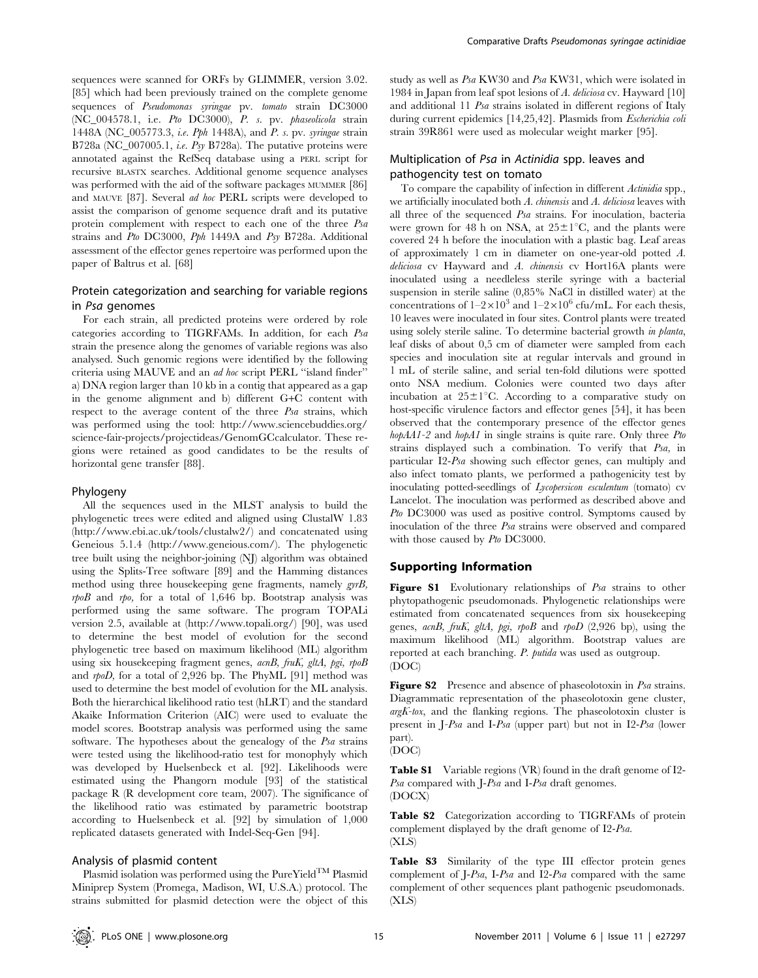sequences were scanned for ORFs by GLIMMER, version 3.02. [85] which had been previously trained on the complete genome sequences of Pseudomonas syringae pv. tomato strain DC3000 (NC\_004578.1, i.e. Pto DC3000), P. s. pv. phaseolicola strain 1448A (NC\_005773.3, i.e. Pph 1448A), and P. s. pv. syringae strain B728a (NC\_007005.1, *i.e. Psy* B728a). The putative proteins were annotated against the RefSeq database using a PERL script for recursive BLASTX searches. Additional genome sequence analyses was performed with the aid of the software packages MUMMER [86] and MAUVE [87]. Several ad hoc PERL scripts were developed to assist the comparison of genome sequence draft and its putative protein complement with respect to each one of the three Psa strains and Pto DC3000, Pph 1449A and Psy B728a. Additional assessment of the effector genes repertoire was performed upon the paper of Baltrus et al. [68]

# Protein categorization and searching for variable regions in Psa genomes

For each strain, all predicted proteins were ordered by role categories according to TIGRFAMs. In addition, for each Psa strain the presence along the genomes of variable regions was also analysed. Such genomic regions were identified by the following criteria using MAUVE and an ad hoc script PERL ''island finder'' a) DNA region larger than 10 kb in a contig that appeared as a gap in the genome alignment and b) different G+C content with respect to the average content of the three Psa strains, which was performed using the tool: http://www.sciencebuddies.org/ science-fair-projects/projectideas/GenomGCcalculator. These regions were retained as good candidates to be the results of horizontal gene transfer [88].

#### Phylogeny

All the sequences used in the MLST analysis to build the phylogenetic trees were edited and aligned using ClustalW 1.83 (http://www.ebi.ac.uk/tools/clustalw2/) and concatenated using Geneious 5.1.4 (http://www.geneious.com/). The phylogenetic tree built using the neighbor-joining (NJ) algorithm was obtained using the Splits-Tree software [89] and the Hamming distances method using three housekeeping gene fragments, namely gyrB,  $rpoB$  and  $rpo$ , for a total of 1,646 bp. Bootstrap analysis was performed using the same software. The program TOPALi version 2.5, available at (http://www.topali.org/) [90], was used to determine the best model of evolution for the second phylogenetic tree based on maximum likelihood (ML) algorithm using six housekeeping fragment genes, acnB, fruK, gltA, pgi, rpoB and rpoD, for a total of 2,926 bp. The PhyML [91] method was used to determine the best model of evolution for the ML analysis. Both the hierarchical likelihood ratio test (hLRT) and the standard Akaike Information Criterion (AIC) were used to evaluate the model scores. Bootstrap analysis was performed using the same software. The hypotheses about the genealogy of the Psa strains were tested using the likelihood-ratio test for monophyly which was developed by Huelsenbeck et al. [92]. Likelihoods were estimated using the Phangorn module [93] of the statistical package R (R development core team, 2007). The significance of the likelihood ratio was estimated by parametric bootstrap according to Huelsenbeck et al. [92] by simulation of 1,000 replicated datasets generated with Indel-Seq-Gen [94].

## Analysis of plasmid content

Plasmid isolation was performed using the  $PureYield^{TM}$  Plasmid Miniprep System (Promega, Madison, WI, U.S.A.) protocol. The strains submitted for plasmid detection were the object of this

study as well as Psa KW30 and Psa KW31, which were isolated in 1984 in Japan from leaf spot lesions of A. deliciosa cv. Hayward [10] and additional 11 Psa strains isolated in different regions of Italy during current epidemics [14,25,42]. Plasmids from Escherichia coli strain 39R861 were used as molecular weight marker [95].

# Multiplication of Psa in Actinidia spp. leaves and pathogencity test on tomato

To compare the capability of infection in different Actinidia spp., we artificially inoculated both A. chinensis and A. deliciosa leaves with all three of the sequenced Psa strains. For inoculation, bacteria were grown for 48 h on NSA, at  $25\pm1^{\circ}C$ , and the plants were covered 24 h before the inoculation with a plastic bag. Leaf areas of approximately 1 cm in diameter on one-year-old potted A. deliciosa cv Hayward and A. chinensis cv Hort16A plants were inoculated using a needleless sterile syringe with a bacterial suspension in sterile saline (0,85% NaCl in distilled water) at the concentrations of  $1-2\times10^3$  and  $1-2\times10^6$  cfu/mL. For each thesis, 10 leaves were inoculated in four sites. Control plants were treated using solely sterile saline. To determine bacterial growth in planta, leaf disks of about 0,5 cm of diameter were sampled from each species and inoculation site at regular intervals and ground in 1 mL of sterile saline, and serial ten-fold dilutions were spotted onto NSA medium. Colonies were counted two days after incubation at  $25\pm1^{\circ}$ C. According to a comparative study on host-specific virulence factors and effector genes [54], it has been observed that the contemporary presence of the effector genes  $h \circ \rho A A1-2$  and  $h \circ \rho A1$  in single strains is quite rare. Only three Pto strains displayed such a combination. To verify that Psa, in particular I2-Psa showing such effector genes, can multiply and also infect tomato plants, we performed a pathogenicity test by inoculating potted-seedlings of Lycopersicon esculentum (tomato) cv Lancelot. The inoculation was performed as described above and Pto DC3000 was used as positive control. Symptoms caused by inoculation of the three Psa strains were observed and compared with those caused by Pto DC3000.

## Supporting Information

Figure S1 Evolutionary relationships of Psa strains to other phytopathogenic pseudomonads. Phylogenetic relationships were estimated from concatenated sequences from six housekeeping genes, acnB, fruK, gltA, pgi, rpoB and rpoD (2,926 bp), using the maximum likelihood (ML) algorithm. Bootstrap values are reported at each branching. P. putida was used as outgroup. (DOC)

Figure S2 Presence and absence of phaseolotoxin in Psa strains. Diagrammatic representation of the phaseolotoxin gene cluster,  $argK-tox$ , and the flanking regions. The phaseolotoxin cluster is present in J-Psa and I-Psa (upper part) but not in I2-Psa (lower part).



Table S1 Variable regions (VR) found in the draft genome of I2- Psa compared with J-Psa and I-Psa draft genomes. (DOCX)

Table S2 Categorization according to TIGRFAMs of protein complement displayed by the draft genome of I2-Psa. (XLS)

Table S3 Similarity of the type III effector protein genes complement of J-Psa, I-Psa and I2-Psa compared with the same complement of other sequences plant pathogenic pseudomonads. (XLS)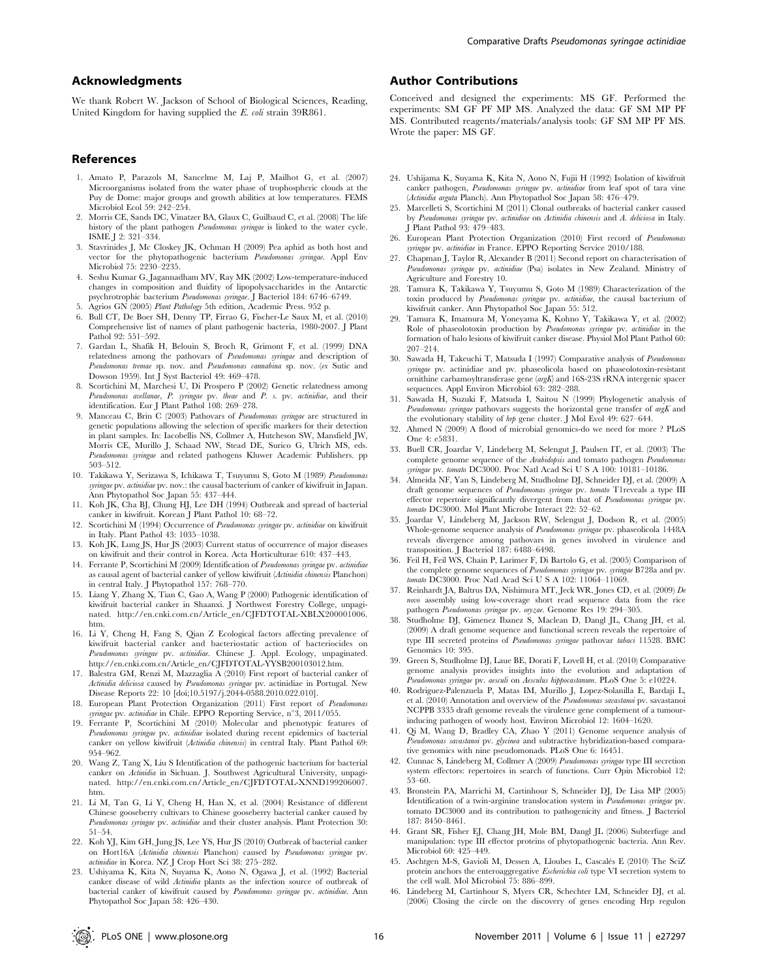## Acknowledgments

We thank Robert W. Jackson of School of Biological Sciences, Reading, United Kingdom for having supplied the E. coli strain 39R861.

#### References

- 1. Amato P, Parazols M, Sancelme M, Laj P, Mailhot G, et al. (2007) Microorganisms isolated from the water phase of trophospheric clouds at the Puy de Dome: major groups and growth abilities at low temperatures. FEMS Microbiol Ecol 59: 242–254.
- 2. Morris CE, Sands DC, Vinatzer BA, Glaux C, Guilbaud C, et al. (2008) The life history of the plant pathogen Pseudomonas syringae is linked to the water cycle. ISME J 2: 321–334.
- 3. Stavrinides J, Mc Closkey JK, Ochman H (2009) Pea aphid as both host and vector for the phytopathogenic bacterium Pseudomonas syringae. Appl Env Microbiol 75: 2230–2235.
- 4. Seshu Kumar G, Jagannadham MV, Ray MK (2002) Low-temperature-induced changes in composition and fluidity of lipopolysaccharides in the Antarctic psychrotrophic bacterium Pseudomonas syringae. J Bacteriol 184: 6746–6749.
- 5. Agrios GN (2005) Plant Pathology 5th edition, Academic Press. 952 p.
- 6. Bull CT, De Boer SH, Denny TP, Firrao G, Fischer-Le Saux M, et al. (2010) Comprehensive list of names of plant pathogenic bacteria, 1980-2007. J Plant Pathol 92: 551–592.
- 7. Gardan L, Shafik H, Belouin S, Broch R, Grimont F, et al. (1999) DNA relatedness among the pathovars of Pseudomonas syringae and description of Pseudomonas tremae sp. nov. and Pseudomonas cannabina sp. nov. (ex Sutic and Dowson 1959). Int J Syst Bacteriol 49: 469–478.
- 8. Scortichini M, Marchesi U, Di Prospero P (2002) Genetic relatedness among Pseudomonas avellanae, P. syringae pv. theae and P. s. pv. actinidiae, and their identification. Eur J Plant Pathol 108: 269–278.
- 9. Manceau C, Brin C (2003) Pathovars of Pseudomonas syringae are structured in genetic populations allowing the selection of specific markers for their detection in plant samples. In: Iacobellis NS, Collmer A, Hutcheson SW, Mansfield JW, Morris CE, Murillo J, Schaad NW, Stead DE, Surico G, Ulrich MS, eds. Pseudomonas syringae and related pathogens Kluwer Academic Publishers. pp 503–512.
- 10. Takikawa Y, Serizawa S, Ichikawa T, Tsuyumu S, Goto M (1989) Pseudomonas syringae pv. actinidiae pv. nov.: the causal bacterium of canker of kiwifruit in Japan. Ann Phytopathol Soc Japan 55: 437–444.
- 11. Koh JK, Cha BJ, Chung HJ, Lee DH (1994) Outbreak and spread of bacterial canker in kiwifruit. Korean J Plant Pathol 10: 68–72.
- 12. Scortichini M (1994) Occurrence of Pseudomonas syringae pv. actinidiae on kiwifruit in Italy. Plant Pathol 43: 1035–1038.
- 13. Koh JK, Lung JS, Hur JS (2003) Current status of occurrence of major diseases on kiwifruit and their control in Korea. Acta Horticulturae 610: 437–443.
- 14. Ferrante P, Scortichini M (2009) Identification of Pseudomonas syringae pv. actinidiae as causal agent of bacterial canker of yellow kiwifruit (Actinidia chinensis Planchon) in central Italy. J Phytopathol 157: 768–770.
- 15. Liang Y, Zhang X, Tian C, Gao A, Wang P (2000) Pathogenic identification of kiwifruit bacterial canker in Shaanxi. J Northwest Forestry College, unpaginated. http://en.cnki.com.cn/Article\_en/CJFDTOTAL-XBLX200001006. htm.
- 16. Li Y, Cheng H, Fang S, Qian Z Ecological factors affecting prevalence of kiwifruit bacterial canker and bacteriostatic action of bacteriocides on Pseudomonas syringae pv. actinidiae. Chinese J. Appl. Ecology, unpaginated. http://en.cnki.com.cn/Article\_en/CJFDTOTAL-YYSB200103012.htm.
- 17. Balestra GM, Renzi M, Mazzaglia A (2010) First report of bacterial canker of Actinidia deliciosa caused by Pseudomonas syringae pv. actinidiae in Portugal. New Disease Reports 22: 10 [doi;10.5197/j.2044-0588.2010.022.010].
- 18. European Plant Protection Organization (2011) First report of Pseudomonas syringae pv. actinidiae in Chile. EPPO Reporting Service, n°3, 2011/055.
- 19. Ferrante P, Scortichini M (2010) Molecular and phenotypic features of Pseudomonas syringae pv. actinidiae isolated during recent epidemics of bacterial canker on yellow kiwifruit (Actinidia chinensis) in central Italy. Plant Pathol 69: 954–962.
- 20. Wang Z, Tang X, Liu S Identification of the pathogenic bacterium for bacterial canker on Actinidia in Sichuan. J. Southwest Agricultural University, unpaginated. http://en.cnki.com.cn/Article\_en/CJFDTOTAL-XNND199206007. htm.
- 21. Li M, Tan G, Li Y, Cheng H, Han X, et al. (2004) Resistance of different Chinese gooseberry cultivars to Chinese gooseberry bacterial canker caused by Pseudomonas syringae pv. actinidiae and their cluster analysis. Plant Protection 30: 51–54.
- 22. Koh YJ, Kim GH, Jung JS, Lee YS, Hur JS (2010) Outbreak of bacterial canker on Hort16A (Actinidia chinensis Planchon) caused by Pseudomonas syringae pv. actinidiae in Korea. NZ J Crop Hort Sci 38: 275–282.
- 23. Ushiyama K, Kita N, Suyama K, Aono N, Ogawa J, et al. (1992) Bacterial canker disease of wild Actinidia plants as the infection source of outbreak of bacterial canker of kiwifruit caused by Pseudomonas syringae pv. actinidiae. Ann Phytopathol Soc Japan 58: 426–430.

## Author Contributions

Conceived and designed the experiments: MS GF. Performed the experiments: SM GF PF MP MS. Analyzed the data: GF SM MP PF MS. Contributed reagents/materials/analysis tools: GF SM MP PF MS. Wrote the paper: MS GF.

- 24. Ushijama K, Suyama K, Kita N, Aono N, Fujii H (1992) Isolation of kiwifruit canker pathogen, Pseudomonas syringae pv. actinidiae from leaf spot of tara vine (Actinidia arguta Planch). Ann Phytopathol Soc Japan 58: 476–479.
- 25. Marcelleti S, Scortichini M (2011) Clonal outbreaks of bacterial canker caused by Pseudomonas syringae pv. actinidiae on Actinidia chinensis and A. deliciosa in Italy. J Plant Pathol 93: 479–483.
- 26. European Plant Protection Organization (2010) First record of Pseudomonas syringae pv. actinidiae in France. EPPO Reporting Service 2010/188.
- 27. Chapman J, Taylor R, Alexander B (2011) Second report on characterisation of Pseudomonas syringae pv. actinidiae (Psa) isolates in New Zealand. Ministry of Agriculture and Forestry 10.
- 28. Tamura K, Takikawa Y, Tsuyumu S, Goto M (1989) Characterization of the toxin produced by Pseudomonas syringae pv. actinidiae, the causal bacterium of kiwifruit canker. Ann Phytopathol Soc Japan 55: 512.
- 29. Tamura K, Imamura M, Yoneyama K, Kohno Y, Takikawa Y, et al. (2002) Role of phaseolotoxin production by Pseudomonas syringae pv. actinidiae in the formation of halo lesions of kiwifruit canker disease. Physiol Mol Plant Pathol 60: 207–214.
- 30. Sawada H, Takeuchi T, Matsuda I (1997) Comparative analysis of Pseudomonas syringae pv. actinidiae and pv. phaseolicola based on phaseolotoxin-resistant ornithine carbamoyltransferase gene (argK) and 16S-23S rRNA intergenic spacer sequences. Appl Environ Microbiol 63: 282–288.
- 31. Sawada H, Suzuki F, Matsuda I, Saitou N (1999) Phylogenetic analysis of Pseudomonas syringae pathovars suggests the horizontal gene transfer of argK and the evolutionary stability of hrp gene cluster. J Mol Evol 49: 627–644.
- 32. Ahmed N (2009) A flood of microbial genomics-do we need for more ? PLoS One 4: e5831.
- 33. Buell CR, Joardar V, Lindeberg M, Selengut J, Paulsen IT, et al. (2003) The complete genome sequence of the Arabidopsis and tomato pathogen Pseudomonas syringae pv. tomato DC3000. Proc Natl Acad Sci U S A 100: 10181-10186.
- 34. Almeida NF, Yan S, Lindeberg M, Studholme DJ, Schneider DJ, et al. (2009) A draft genome sequences of Pseudomonas syringae pv. tomato T1reveals a type III effector repertoire significantly divergent from that of Pseudomonas syringae pv. tomato DC3000. Mol Plant Microbe Interact 22: 52–62.
- 35. Joardar V, Lindeberg M, Jackson RW, Selengut J, Dodson R, et al. (2005) Whole-genome sequence analysis of Pseudomonas syringae pv. phaseolicola 1448A reveals divergence among pathovars in genes involved in virulence and transposition. J Bacteriol 187: 6488–6498.
- 36. Feil H, Feil WS, Chain P, Larimer F, Di Bartolo G, et al. (2005) Comparison of the complete genome sequences of Pseudomonas syringae pv. syringae B728a and pv. tomato DC3000. Proc Natl Acad Sci U S A 102: 11064-11069.
- 37. Reinhardt JA, Baltrus DA, Nishimura MT, Jeck WR, Jones CD, et al. (2009) De novo assembly using low-coverage short read sequence data from the rice pathogen Pseudomonas syringae pv. oryzae. Genome Res 19: 294–305.
- 38. Studholme DJ, Gimenez Ibanez S, Maclean D, Dangl JL, Chang JH, et al. (2009) A draft genome sequence and functional screen reveals the repertoire of type III secreted proteins of Pseudomonas syringae pathovar tabaci 11528. BMC Genomics 10: 395.
- 39. Green S, Studholme DJ, Laue BE, Dorati F, Lovell H, et al. (2010) Comparative genome analysis provides insights into the evolution and adaptation of Pseudomonas syringae pv. aesculi on Aesculus hippocastanum. PLoS One 5: e10224.
- 40. Rodriguez-Palenzuela P, Matas IM, Murillo J, Lopez-Solanilla E, Bardaji L, et al. (2010) Annotation and overview of the Pseudomonas savastanoi pv. savastanoi NCPPB 3335 draft genome reveals the virulence gene complement of a tumourinducing pathogen of woody host. Environ Microbiol 12: 1604–1620.
- 41. Qi M, Wang D, Bradley CA, Zhao Y (2011) Genome sequence analysis of Pseudomonas savastanoi pv. glycinea and subtractive hybridization-based comparative genomics with nine pseudomonads. PLoS One 6: 16451.
- 42. Cunnac S, Lindeberg M, Collmer A (2009) Pseudomonas syringae type III secretion system effectors: repertoires in search of functions. Curr Opin Microbiol 12: 53–60.
- 43. Bronstein PA, Marrichi M, Cartinhour S, Schneider DJ, De Lisa MP (2005) Identification of a twin-arginine translocation system in Pseudomonas syringae pv. tomato DC3000 and its contribution to pathogenicity and fitness. J Bacteriol 187: 8450–8461.
- 44. Grant SR, Fisher EJ, Chang JH, Mole BM, Dangl JL (2006) Subterfuge and manipulation: type III effector proteins of phytopathogenic bacteria. Ann Rev. Microbiol 60: 425–449.
- 45. Aschtgen M-S, Gavioli M, Dessen A, Lloubes L, Cascalés E (2010) The SciZ protein anchors the enteroaggregative Escherichia coli type VI secretion system to the cell wall. Mol Microbiol 75: 886–899.
- 46. Lindeberg M, Cartinhour S, Myers CR, Schechter LM, Schneider DJ, et al. (2006) Closing the circle on the discovery of genes encoding Hrp regulon